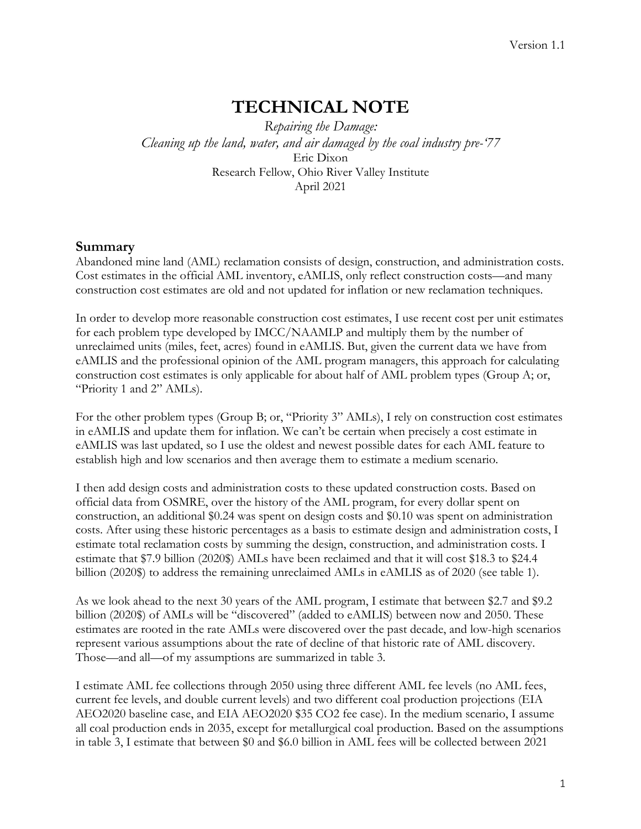# **TECHNICAL NOTE**

*Repairing the Damage: Cleaning up the land, water, and air damaged by the coal industry pre-'77* Eric Dixon Research Fellow, Ohio River Valley Institute April 2021

### **Summary**

Abandoned mine land (AML) reclamation consists of design, construction, and administration costs. Cost estimates in the official AML inventory, eAMLIS, only reflect construction costs—and many construction cost estimates are old and not updated for inflation or new reclamation techniques.

In order to develop more reasonable construction cost estimates, I use recent cost per unit estimates for each problem type developed by IMCC/NAAMLP and multiply them by the number of unreclaimed units (miles, feet, acres) found in eAMLIS. But, given the current data we have from eAMLIS and the professional opinion of the AML program managers, this approach for calculating construction cost estimates is only applicable for about half of AML problem types (Group A; or, "Priority 1 and 2" AMLs).

For the other problem types (Group B; or, "Priority 3" AMLs), I rely on construction cost estimates in eAMLIS and update them for inflation. We can't be certain when precisely a cost estimate in eAMLIS was last updated, so I use the oldest and newest possible dates for each AML feature to establish high and low scenarios and then average them to estimate a medium scenario.

I then add design costs and administration costs to these updated construction costs. Based on official data from OSMRE, over the history of the AML program, for every dollar spent on construction, an additional \$0.24 was spent on design costs and \$0.10 was spent on administration costs. After using these historic percentages as a basis to estimate design and administration costs, I estimate total reclamation costs by summing the design, construction, and administration costs. I estimate that \$7.9 billion (2020\$) AMLs have been reclaimed and that it will cost \$18.3 to \$24.4 billion (2020\$) to address the remaining unreclaimed AMLs in eAMLIS as of 2020 (see table 1).

As we look ahead to the next 30 years of the AML program, I estimate that between \$2.7 and \$9.2 billion (2020\$) of AMLs will be "discovered" (added to eAMLIS) between now and 2050. These estimates are rooted in the rate AMLs were discovered over the past decade, and low-high scenarios represent various assumptions about the rate of decline of that historic rate of AML discovery. Those—and all—of my assumptions are summarized in table 3.

I estimate AML fee collections through 2050 using three different AML fee levels (no AML fees, current fee levels, and double current levels) and two different coal production projections (EIA AEO2020 baseline case, and EIA AEO2020 \$35 CO2 fee case). In the medium scenario, I assume all coal production ends in 2035, except for metallurgical coal production. Based on the assumptions in table 3, I estimate that between \$0 and \$6.0 billion in AML fees will be collected between 2021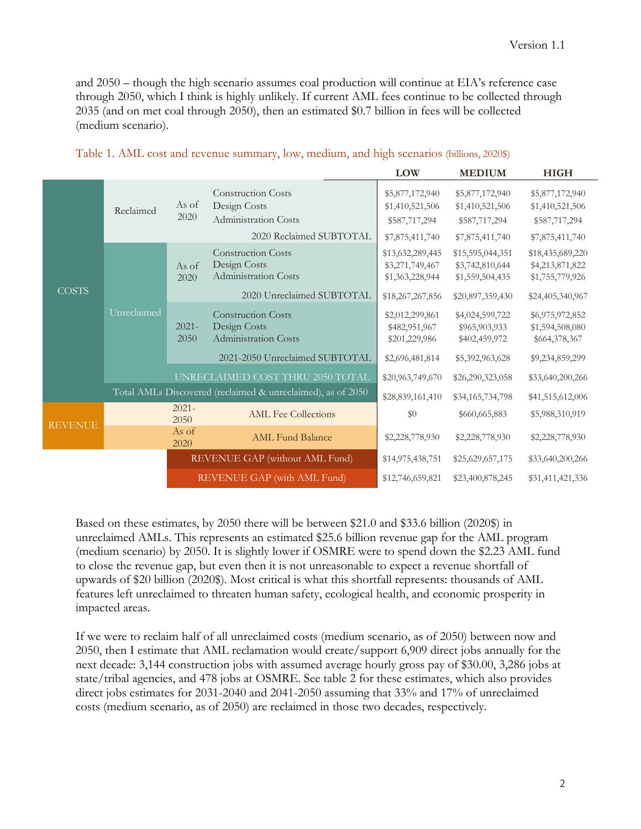and 2050 – though the high scenario assumes coal production will continue at EIA's reference case through 2050, which I think is highly unlikely. If current AML fees continue to be collected through 2035 (and on met coal through 2050), then an estimated \$0.7 billion in fees will be collected (medium scenario).

|                |                                                                                           |                  |                                                                                                                                                       | <b>LOW</b>                                                                 | <b>MEDIUM</b>                                                              | <b>HIGH</b>                                                                |
|----------------|-------------------------------------------------------------------------------------------|------------------|-------------------------------------------------------------------------------------------------------------------------------------------------------|----------------------------------------------------------------------------|----------------------------------------------------------------------------|----------------------------------------------------------------------------|
|                | Reclaimed                                                                                 | As of<br>2020    | <b>Construction Costs</b><br>Design Costs<br><b>Administration Costs</b><br>2020 Reclaimed SUBTOTAL                                                   | \$5,877,172,940<br>\$1,410,521,506<br>\$587,717,294<br>\$7,875,411,740     | \$5,877,172,940<br>\$1,410,521,506<br>\$587,717,294<br>\$7,875,411,740     | \$5,877,172,940<br>\$1,410,521,506<br>\$587,717,294<br>\$7,875,411,740     |
| <b>COSTS</b>   | <b>Construction Costs</b><br>Design Costs<br>As of<br><b>Administration Costs</b><br>2020 |                  | 2020 Unreclaimed SUBTOTAL                                                                                                                             | \$13,632,289,445<br>\$3,271,749,467<br>\$1,363,228,944<br>\$18,267,267,856 | \$15,595,044,351<br>\$3,742,810,644<br>\$1,559,504,435<br>\$20,897,359,430 | \$18,435,689,220<br>\$4,213,871,822<br>\$1,755,779,926<br>\$24,405,340,967 |
|                | Unreclaimed                                                                               | $2021 -$<br>2050 | <b>Construction Costs</b><br>Design Costs<br><b>Administration Costs</b>                                                                              | \$2,012,299,861<br>\$482,951,967<br>\$201,229,986<br>\$2,696,481,814       | \$4,024,599,722<br>\$965,903,933<br>\$402,459,972                          | \$6,975,972,852<br>\$1,594,508,080<br>\$664,378,367                        |
|                |                                                                                           |                  | 2021-2050 Unreclaimed SUBTOTAL<br>UNRECLAIMED COST THRU 2050 TOTAL<br>\$20,963,749,670<br>Total AMLs Discovered (reclaimed & unreclaimed), as of 2050 |                                                                            | \$5,392,963,628<br>\$26,290,323,058                                        | \$9,234,859,299<br>\$33,640,200,266                                        |
|                |                                                                                           | $2021 -$         |                                                                                                                                                       | \$28,839,161,410                                                           | \$34,165,734,798                                                           | \$41,515,612,006                                                           |
| <b>REVENUE</b> |                                                                                           | 2050             | <b>AML</b> Fee Collections                                                                                                                            | \$0                                                                        | \$660,665,883                                                              | \$5,988,310,919                                                            |
|                |                                                                                           | As of<br>2020    | <b>AML Fund Balance</b>                                                                                                                               | \$2,228,778,930                                                            | \$2,228,778,930                                                            | \$2,228,778,930                                                            |
|                |                                                                                           |                  | REVENUE GAP (without AML Fund)                                                                                                                        | \$14,975,438,751                                                           | \$25,629,657,175                                                           | \$33,640,200,266                                                           |
|                | REVENUE GAP (with AML Fund)                                                               |                  | \$12,746,659,821                                                                                                                                      | \$23,400,878,245                                                           | \$31,411,421,336                                                           |                                                                            |

| Table 1. AML cost and revenue summary, low, medium, and high scenarios (billions, 2020\$) |  |  |  |
|-------------------------------------------------------------------------------------------|--|--|--|
|-------------------------------------------------------------------------------------------|--|--|--|

Based on these estimates, by 2050 there will be between \$21.0 and \$33.6 billion (2020\$) in unreclaimed AMLs. This represents an estimated \$25.6 billion revenue gap for the AML program (medium scenario) by 2050. It is slightly lower if OSMRE were to spend down the \$2.23 AML fund to close the revenue gap, but even then it is not unreasonable to expect a revenue shortfall of upwards of \$20 billion (2020\$). Most critical is what this shortfall represents: thousands of AML features left unreclaimed to threaten human safety, ecological health, and economic prosperity in impacted areas.

If we were to reclaim half of all unreclaimed costs (medium scenario, as of 2050) between now and 2050, then I estimate that AML reclamation would create/support 6,909 direct jobs annually for the next decade: 3,144 construction jobs with assumed average hourly gross pay of \$30.00, 3,286 jobs at state/tribal agencies, and 478 jobs at OSMRE. See table 2 for these estimates, which also provides direct jobs estimates for 2031-2040 and 2041-2050 assuming that 33% and 17% of unreclaimed costs (medium scenario, as of 2050) are reclaimed in those two decades, respectively.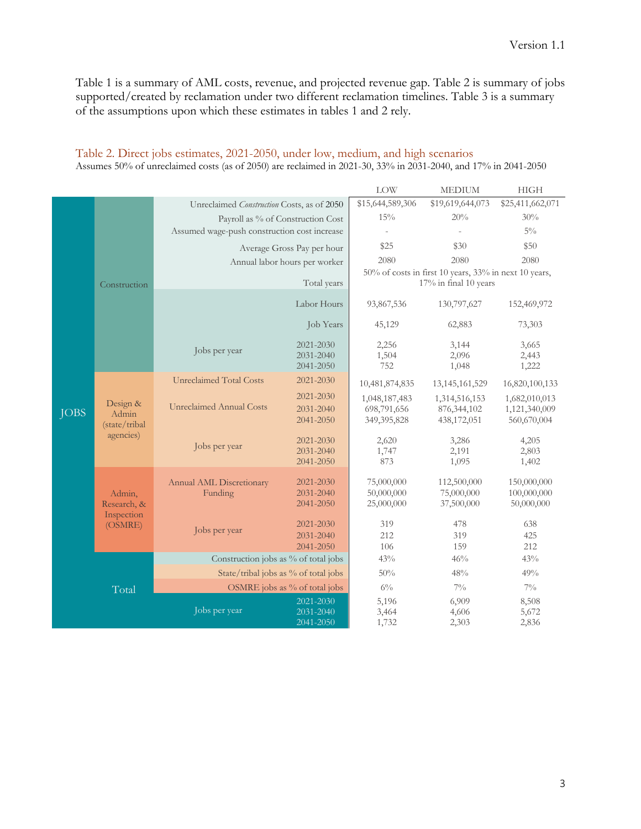Table 1 is a summary of AML costs, revenue, and projected revenue gap. Table 2 is summary of jobs supported/created by reclamation under two different reclamation timelines. Table 3 is a summary of the assumptions upon which these estimates in tables 1 and 2 rely.

|  |                                  |                                              |                               | <b>LOW</b>                 | <b>MEDIUM</b>                                         | <b>HIGH</b>                  |
|--|----------------------------------|----------------------------------------------|-------------------------------|----------------------------|-------------------------------------------------------|------------------------------|
|  |                                  | Unreclaimed Construction Costs, as of 2050   |                               | \$15,644,589,306           | \$19,619,644,073                                      | \$25,411,662,071             |
|  |                                  | Payroll as % of Construction Cost            |                               | 15%                        | 20%                                                   | 30%                          |
|  |                                  | Assumed wage-push construction cost increase |                               |                            |                                                       | $5\%$                        |
|  |                                  |                                              | Average Gross Pay per hour    | \$25                       | \$30                                                  | \$50                         |
|  |                                  |                                              | Annual labor hours per worker | 2080                       | 2080                                                  | 2080                         |
|  |                                  |                                              |                               |                            | 50% of costs in first 10 years, 33% in next 10 years, |                              |
|  | Construction                     |                                              | Total years                   |                            | 17% in final 10 years                                 |                              |
|  |                                  |                                              | Labor Hours                   | 93,867,536                 | 130,797,627                                           | 152,469,972                  |
|  |                                  |                                              | Job Years                     | 45,129                     | 62,883                                                | 73,303                       |
|  |                                  | Jobs per year                                | 2021-2030                     | 2,256                      | 3,144                                                 | 3,665                        |
|  |                                  |                                              | 2031-2040                     | 1,504                      | 2,096                                                 | 2,443                        |
|  |                                  |                                              | 2041-2050                     | 752                        | 1,048                                                 | 1,222                        |
|  | Design &<br><b>JOBS</b><br>Admin | <b>Unreclaimed Total Costs</b>               | 2021-2030                     | 10,481,874,835             | 13, 145, 161, 529                                     | 16,820,100,133               |
|  |                                  | <b>Unreclaimed Annual Costs</b>              | 2021-2030                     | 1,048,187,483              | 1,314,516,153                                         | 1,682,010,013                |
|  |                                  |                                              | 2031-2040<br>2041-2050        | 698,791,656<br>349,395,828 | 876, 344, 102<br>438,172,051                          | 1,121,340,009<br>560,670,004 |
|  | (state/tribal<br>agencies)       |                                              |                               |                            |                                                       |                              |
|  |                                  | Jobs per year                                | 2021-2030                     | 2,620                      | 3,286                                                 | 4,205                        |
|  |                                  |                                              | 2031-2040<br>2041-2050        | 1,747<br>873               | 2,191<br>1,095                                        | 2,803<br>1,402               |
|  |                                  |                                              |                               |                            |                                                       |                              |
|  |                                  | Annual AML Discretionary                     | 2021-2030                     | 75,000,000                 | 112,500,000                                           | 150,000,000                  |
|  | Admin,<br>Research, &            | Funding                                      | 2031-2040<br>2041-2050        | 50,000,000<br>25,000,000   | 75,000,000<br>37,500,000                              | 100,000,000<br>50,000,000    |
|  | Inspection                       |                                              |                               |                            |                                                       |                              |
|  | (OSMRE)                          | Jobs per year                                | 2021-2030                     | 319                        | 478                                                   | 638                          |
|  |                                  |                                              | 2031-2040<br>2041-2050        | 212<br>106                 | 319<br>159                                            | 425<br>212                   |
|  |                                  | Construction jobs as % of total jobs         |                               | 43%                        | 46%                                                   | 43%                          |
|  |                                  | State/tribal jobs as % of total jobs         |                               | 50%                        | 48%                                                   | 49%                          |
|  |                                  |                                              | OSMRE jobs as % of total jobs | $6\%$                      | $7\%$                                                 | $7\%$                        |
|  | Total                            |                                              | 2021-2030                     | 5,196                      | 6,909                                                 | 8,508                        |
|  |                                  | Jobs per year                                | 2031-2040                     | 3,464                      | 4,606                                                 | 5,672                        |
|  |                                  |                                              | 2041-2050                     | 1,732                      | 2,303                                                 | 2,836                        |

#### Table 2. Direct jobs estimates, 2021-2050, under low, medium, and high scenarios Assumes 50% of unreclaimed costs (as of 2050) are reclaimed in 2021-30, 33% in 2031-2040, and 17% in 2041-2050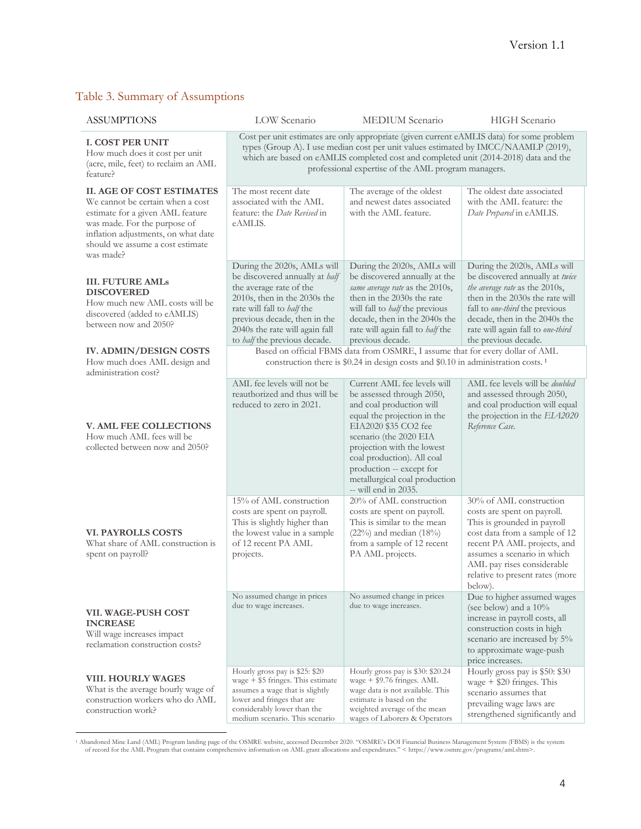### Table 3. Summary of Assumptions

| <b>ASSUMPTIONS</b>                                                                                                                                                                                                               | LOW Scenario                                                                                                                                                                                                                                                                                                                    | MEDIUM Scenario                                                                                                                                                                                                                                                                                                        | <b>HIGH</b> Scenario                                                                                                                                                                                                                                                |
|----------------------------------------------------------------------------------------------------------------------------------------------------------------------------------------------------------------------------------|---------------------------------------------------------------------------------------------------------------------------------------------------------------------------------------------------------------------------------------------------------------------------------------------------------------------------------|------------------------------------------------------------------------------------------------------------------------------------------------------------------------------------------------------------------------------------------------------------------------------------------------------------------------|---------------------------------------------------------------------------------------------------------------------------------------------------------------------------------------------------------------------------------------------------------------------|
| <b>I. COST PER UNIT</b><br>How much does it cost per unit<br>(acre, mile, feet) to reclaim an AML<br>feature?                                                                                                                    | Cost per unit estimates are only appropriate (given current eAMLIS data) for some problem<br>types (Group A). I use median cost per unit values estimated by IMCC/NAAMLP (2019),<br>which are based on eAMLIS completed cost and completed unit (2014-2018) data and the<br>professional expertise of the AML program managers. |                                                                                                                                                                                                                                                                                                                        |                                                                                                                                                                                                                                                                     |
| <b>II. AGE OF COST ESTIMATES</b><br>We cannot be certain when a cost<br>estimate for a given AML feature<br>was made. For the purpose of<br>inflation adjustments, on what date<br>should we assume a cost estimate<br>was made? | The most recent date<br>associated with the AML<br>feature: the Date Revised in<br>eAMLIS.                                                                                                                                                                                                                                      | The average of the oldest<br>and newest dates associated<br>with the AML feature.                                                                                                                                                                                                                                      | The oldest date associated<br>with the AML feature: the<br>Date Prepared in eAMLIS.                                                                                                                                                                                 |
| <b>III. FUTURE AMLs</b><br><b>DISCOVERED</b><br>How much new AML costs will be<br>discovered (added to eAMLIS)<br>between now and 2050?                                                                                          | During the 2020s, AMLs will<br>be discovered annually at half<br>the average rate of the<br>2010s, then in the 2030s the<br>rate will fall to half the<br>previous decade, then in the<br>2040s the rate will again fall<br>to half the previous decade.                                                                        | During the 2020s, AMLs will<br>be discovered annually at the<br>same average rate as the 2010s,<br>then in the 2030s the rate<br>will fall to <i>half</i> the previous<br>decade, then in the 2040s the<br>rate will again fall to half the<br>previous decade.                                                        | During the 2020s, AMLs will<br>be discovered annually at twice<br>the average rate as the 2010s,<br>then in the 2030s the rate will<br>fall to one-third the previous<br>decade, then in the 2040s the<br>rate will again fall to one-third<br>the previous decade. |
| <b>IV. ADMIN/DESIGN COSTS</b><br>How much does AML design and<br>administration cost?                                                                                                                                            |                                                                                                                                                                                                                                                                                                                                 | Based on official FBMS data from OSMRE, I assume that for every dollar of AML<br>construction there is \$0.24 in design costs and \$0.10 in administration costs. <sup>1</sup>                                                                                                                                         |                                                                                                                                                                                                                                                                     |
| <b>V. AML FEE COLLECTIONS</b><br>How much AML fees will be<br>collected between now and 2050?                                                                                                                                    | AML fee levels will not be<br>reauthorized and thus will be<br>reduced to zero in 2021.                                                                                                                                                                                                                                         | Current AML fee levels will<br>be assessed through 2050,<br>and coal production will<br>equal the projection in the<br>EIA2020 \$35 CO2 fee<br>scenario (the 2020 EIA<br>projection with the lowest<br>coal production). All coal<br>production -- except for<br>metallurgical coal production<br>-- will end in 2035. | AML fee levels will be <i>doubled</i><br>and assessed through 2050,<br>and coal production will equal<br>the projection in the EIA2020<br>Reference Case.                                                                                                           |
| <b>VI. PAYROLLS COSTS</b><br>What share of AML construction is<br>spent on payroll?                                                                                                                                              | 15% of AML construction<br>costs are spent on payroll.<br>This is slightly higher than<br>the lowest value in a sample<br>of 12 recent PA AML<br>projects.                                                                                                                                                                      | 20% of AML construction<br>costs are spent on payroll.<br>This is similar to the mean<br>$(22\%)$ and median $(18\%)$<br>from a sample of 12 recent<br>PA AML projects.                                                                                                                                                | 30% of AML construction<br>costs are spent on payroll.<br>This is grounded in payroll<br>cost data from a sample of 12<br>recent PA AML projects, and<br>assumes a scenario in which<br>AML pay rises considerable<br>relative to present rates (more<br>below).    |
| VII. WAGE-PUSH COST<br><b>INCREASE</b><br>Will wage increases impact<br>reclamation construction costs?                                                                                                                          | No assumed change in prices<br>due to wage increases.                                                                                                                                                                                                                                                                           | No assumed change in prices<br>due to wage increases.                                                                                                                                                                                                                                                                  | Due to higher assumed wages<br>(see below) and a 10%<br>increase in payroll costs, all<br>construction costs in high<br>scenario are increased by 5%<br>to approximate wage-push<br>price increases.                                                                |
| <b>VIII. HOURLY WAGES</b><br>What is the average hourly wage of<br>construction workers who do AML<br>construction work?                                                                                                         | Hourly gross pay is \$25: \$20<br>wage $+$ \$5 fringes. This estimate<br>assumes a wage that is slightly<br>lower and fringes that are<br>considerably lower than the<br>medium scenario. This scenario                                                                                                                         | Hourly gross pay is \$30: \$20.24<br>wage $+$ \$9.76 fringes. AML<br>wage data is not available. This<br>estimate is based on the<br>weighted average of the mean<br>wages of Laborers & Operators                                                                                                                     | Hourly gross pay is \$50: \$30<br>wage $+$ \$20 fringes. This<br>scenario assumes that<br>prevailing wage laws are<br>strengthened significantly and                                                                                                                |

Abandoned Mine Land (AML) Program landing page of the OSMRE website, accessed December 2020. "OSMRE's DOI Financial Business Management System (FBMS) is the system of record for the AML Program that contains comprehensive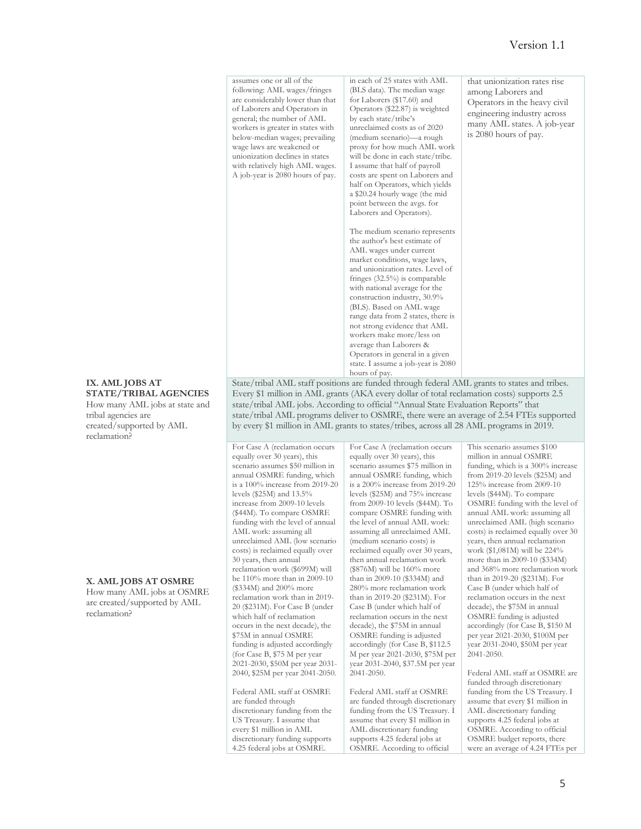| assumes one or all of the<br>following: AML wages/fringes<br>are considerably lower than that<br>of Laborers and Operators in<br>general; the number of AML<br>workers is greater in states with<br>below-median wages; prevailing<br>wage laws are weakened or<br>unionization declines in states<br>with relatively high AML wages.<br>A job-year is 2080 hours of pay. | in each of 25 states with AML<br>(BLS data). The median wage<br>for Laborers (\$17.60) and<br>Operators (\$22.87) is weighted<br>by each state/tribe's<br>unreclaimed costs as of 2020<br>(medium scenario)—a rough<br>proxy for how much AML work<br>will be done in each state/tribe.<br>I assume that half of payroll<br>costs are spent on Laborers and<br>half on Operators, which yields<br>a \$20.24 hourly wage (the mid<br>point between the avgs. for<br>Laborers and Operators).<br>The medium scenario represents<br>the author's best estimate of<br>AML wages under current<br>market conditions, wage laws,<br>and unionization rates. Level of<br>fringes $(32.5\%)$ is comparable<br>with national average for the<br>construction industry, 30.9%<br>(BLS). Based on AML wage<br>range data from 2 states, there is<br>not strong evidence that AML<br>workers make more/less on<br>average than Laborers &<br>Operators in general in a given | that unionization rates rise<br>among Laborers and<br>Operators in the heavy civil<br>engineering industry across<br>many AML states. A job-year<br>is 2080 hours of pay. |
|---------------------------------------------------------------------------------------------------------------------------------------------------------------------------------------------------------------------------------------------------------------------------------------------------------------------------------------------------------------------------|------------------------------------------------------------------------------------------------------------------------------------------------------------------------------------------------------------------------------------------------------------------------------------------------------------------------------------------------------------------------------------------------------------------------------------------------------------------------------------------------------------------------------------------------------------------------------------------------------------------------------------------------------------------------------------------------------------------------------------------------------------------------------------------------------------------------------------------------------------------------------------------------------------------------------------------------------------------|---------------------------------------------------------------------------------------------------------------------------------------------------------------------------|
|                                                                                                                                                                                                                                                                                                                                                                           | state. I assume a job-year is 2080<br>hours of pay.                                                                                                                                                                                                                                                                                                                                                                                                                                                                                                                                                                                                                                                                                                                                                                                                                                                                                                              |                                                                                                                                                                           |

State/tribal AML staff positions are funded through federal AML grants to states and tribes. Every \$1 million in AML grants (AKA every dollar of total reclamation costs) supports 2.5 state/tribal AML jobs. According to official "Annual State Evaluation Reports" that state/tribal AML programs deliver to OSMRE, there were an average of 2.54 FTEs supported by every \$1 million in AML grants to states/tribes, across all 28 AML programs in 2019.

> For Case A (reclamation occurs equally over 30 years), this scenario assumes \$75 million in annual OSMRE funding, which is a 200% increase from 2019-20

For Case A (reclamation occurs equally over 30 years), this scenario assumes \$50 million in annual OSMRE funding, which is a 100% increase from 2019-20 levels (\$25M) and 13.5% increase from 2009-10 levels (\$44M). To compare OSMRE funding with the level of annual AML work: assuming all unreclaimed AML (low scenario costs) is reclaimed equally over 30 years, then annual reclamation work (\$699M) will be 110% more than in 2009-10 (\$334M) and 200% more reclamation work than in 2019- 20 (\$231M). For Case B (under which half of reclamation occurs in the next decade), the \$75M in annual OSMRE funding is adjusted accordingly (for Case B, \$75 M per year 2021-2030, \$50M per year 2031- 2040, \$25M per year 2041-2050. Federal AML staff at OSMRE

are funded through

discretionary funding from the US Treasury. I assume that every \$1 million in AML discretionary funding supports 4.25 federal jobs at OSMRE.

levels (\$25M) and 75% increase from 2009-10 levels (\$44M). To compare OSMRE funding with the level of annual AML work: assuming all unreclaimed AML (medium scenario costs) is reclaimed equally over 30 years, then annual reclamation work (\$876M) will be 160% more than in 2009-10 (\$334M) and 280% more reclamation work than in 2019-20 (\$231M). For Case B (under which half of reclamation occurs in the next decade), the \$75M in annual OSMRE funding is adjusted accordingly (for Case B, \$112.5 M per year 2021-2030, \$75M per year 2031-2040, \$37.5M per year  $2041 - 2050$ 

Federal AML staff at OSMRE are funded through discretionary funding from the US Treasury. I assume that every \$1 million in AML discretionary funding supports 4.25 federal jobs at OSMRE. According to official

million in annual OSMRE funding, which is a 300% increase from 2019-20 levels (\$25M) and 125% increase from 2009-10 levels (\$44M). To compare OSMRE funding with the level of annual AML work: assuming all unreclaimed AML (high scenario costs) is reclaimed equally over 30 years, then annual reclamation work (\$1,081M) will be 224% more than in 2009-10 (\$334M) and 368% more reclamation work than in 2019-20 (\$231M). For Case B (under which half of reclamation occurs in the next decade), the \$75M in annual OSMRE funding is adjusted accordingly (for Case B, \$150 M per year 2021-2030, \$100M per  $\frac{1}{x}$  year 2031-2040, \$50M per year 2041-2050.

This scenario assumes \$100

Federal AML staff at OSMRE are funded through discretionary funding from the US Treasury. I assume that every \$1 million in AML discretionary funding supports 4.25 federal jobs at OSMRE. According to official OSMRE budget reports, there were an average of 4.24 FTEs per

#### **IX. AML JOBS AT STATE/TRIBAL AGENCIES**

How many AML jobs at state and tribal agencies are created/supported by AML reclamation?

#### **X. AML JOBS AT OSMRE**

How many AML jobs at OSMRE are created/supported by AML reclamation?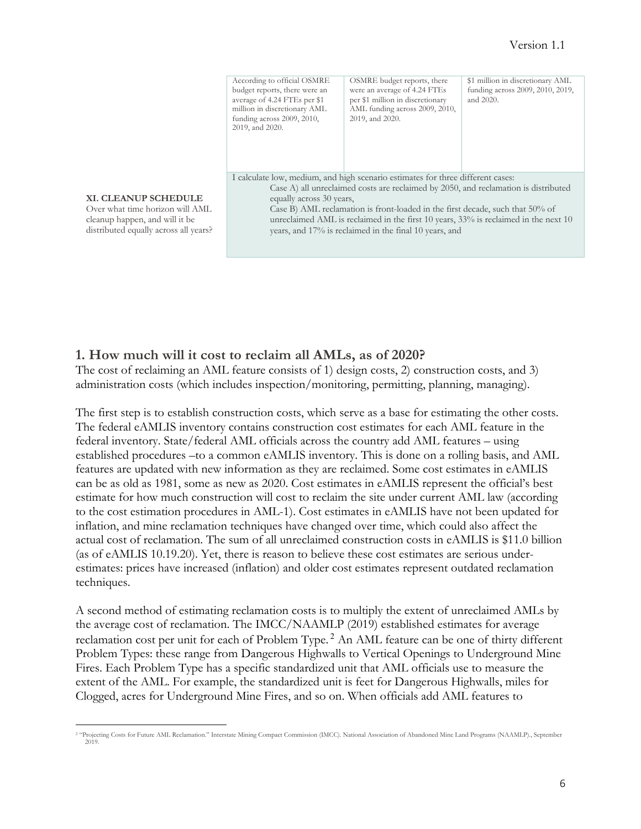|                                                                                                                                           | According to official OSMRE<br>budget reports, there were an<br>average of 4.24 FTEs per \$1<br>million in discretionary AML<br>funding across 2009, 2010,<br>2019, and 2020.                                                                                                                                                                                                                            | OSMRE budget reports, there<br>were an average of 4.24 FTEs<br>per \$1 million in discretionary<br>AML funding across 2009, 2010,<br>2019, and 2020. | \$1 million in discretionary AML<br>funding across 2009, 2010, 2019,<br>and 2020. |
|-------------------------------------------------------------------------------------------------------------------------------------------|----------------------------------------------------------------------------------------------------------------------------------------------------------------------------------------------------------------------------------------------------------------------------------------------------------------------------------------------------------------------------------------------------------|------------------------------------------------------------------------------------------------------------------------------------------------------|-----------------------------------------------------------------------------------|
| <b>XI. CLEANUP SCHEDULE</b><br>Over what time horizon will AML<br>cleanup happen, and will it be<br>distributed equally across all years? | I calculate low, medium, and high scenario estimates for three different cases:<br>Case A) all unreclaimed costs are reclaimed by 2050, and reclamation is distributed<br>Case B) AML reclamation is front-loaded in the first decade, such that 50% of<br>unreclaimed AML is reclaimed in the first 10 years, 33% is reclaimed in the next 10<br>years, and 17% is reclaimed in the final 10 years, and |                                                                                                                                                      |                                                                                   |

#### **1. How much will it cost to reclaim all AMLs, as of 2020?**

The cost of reclaiming an AML feature consists of 1) design costs, 2) construction costs, and 3) administration costs (which includes inspection/monitoring, permitting, planning, managing).

The first step is to establish construction costs, which serve as a base for estimating the other costs. The federal eAMLIS inventory contains construction cost estimates for each AML feature in the federal inventory. State/federal AML officials across the country add AML features – using established procedures –to a common eAMLIS inventory. This is done on a rolling basis, and AML features are updated with new information as they are reclaimed. Some cost estimates in eAMLIS can be as old as 1981, some as new as 2020. Cost estimates in eAMLIS represent the official's best estimate for how much construction will cost to reclaim the site under current AML law (according to the cost estimation procedures in AML-1). Cost estimates in eAMLIS have not been updated for inflation, and mine reclamation techniques have changed over time, which could also affect the actual cost of reclamation. The sum of all unreclaimed construction costs in eAMLIS is \$11.0 billion (as of eAMLIS 10.19.20). Yet, there is reason to believe these cost estimates are serious underestimates: prices have increased (inflation) and older cost estimates represent outdated reclamation techniques.

A second method of estimating reclamation costs is to multiply the extent of unreclaimed AMLs by the average cost of reclamation. The IMCC/NAAMLP (2019) established estimates for average reclamation cost per unit for each of Problem Type. <sup>2</sup> An AML feature can be one of thirty different Problem Types: these range from Dangerous Highwalls to Vertical Openings to Underground Mine Fires. Each Problem Type has a specific standardized unit that AML officials use to measure the extent of the AML. For example, the standardized unit is feet for Dangerous Highwalls, miles for Clogged, acres for Underground Mine Fires, and so on. When officials add AML features to

<sup>2</sup> "Projecting Costs for Future AML Reclamation." Interstate Mining Compact Commission (IMCC). National Association of Abandoned Mine Land Programs (NAAMLP)., September 2019.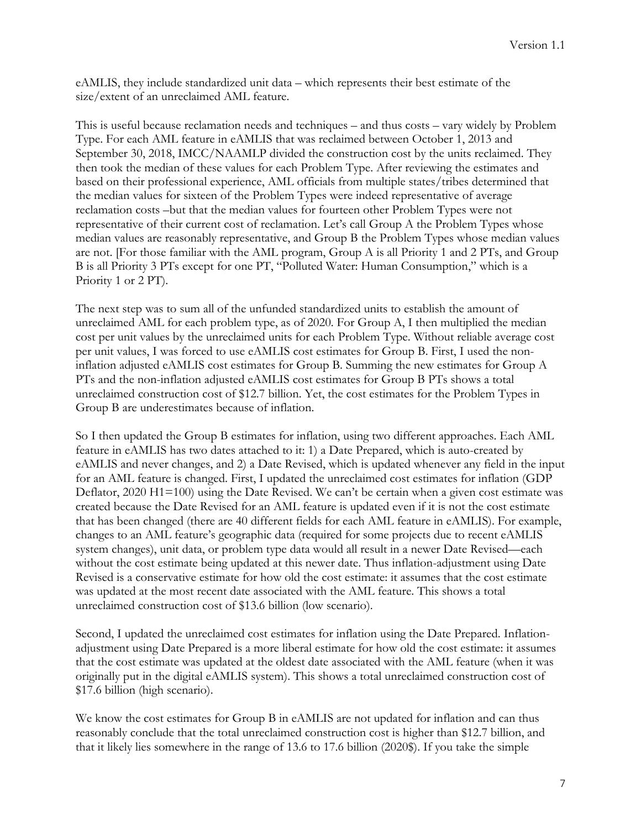eAMLIS, they include standardized unit data – which represents their best estimate of the size/extent of an unreclaimed AML feature.

This is useful because reclamation needs and techniques – and thus costs – vary widely by Problem Type. For each AML feature in eAMLIS that was reclaimed between October 1, 2013 and September 30, 2018, IMCC/NAAMLP divided the construction cost by the units reclaimed. They then took the median of these values for each Problem Type. After reviewing the estimates and based on their professional experience, AML officials from multiple states/tribes determined that the median values for sixteen of the Problem Types were indeed representative of average reclamation costs –but that the median values for fourteen other Problem Types were not representative of their current cost of reclamation. Let's call Group A the Problem Types whose median values are reasonably representative, and Group B the Problem Types whose median values are not. [For those familiar with the AML program, Group A is all Priority 1 and 2 PTs, and Group B is all Priority 3 PTs except for one PT, "Polluted Water: Human Consumption," which is a Priority 1 or 2 PT).

The next step was to sum all of the unfunded standardized units to establish the amount of unreclaimed AML for each problem type, as of 2020. For Group A, I then multiplied the median cost per unit values by the unreclaimed units for each Problem Type. Without reliable average cost per unit values, I was forced to use eAMLIS cost estimates for Group B. First, I used the noninflation adjusted eAMLIS cost estimates for Group B. Summing the new estimates for Group A PTs and the non-inflation adjusted eAMLIS cost estimates for Group B PTs shows a total unreclaimed construction cost of \$12.7 billion. Yet, the cost estimates for the Problem Types in Group B are underestimates because of inflation.

So I then updated the Group B estimates for inflation, using two different approaches. Each AML feature in eAMLIS has two dates attached to it: 1) a Date Prepared, which is auto-created by eAMLIS and never changes, and 2) a Date Revised, which is updated whenever any field in the input for an AML feature is changed. First, I updated the unreclaimed cost estimates for inflation (GDP Deflator, 2020 H1=100) using the Date Revised. We can't be certain when a given cost estimate was created because the Date Revised for an AML feature is updated even if it is not the cost estimate that has been changed (there are 40 different fields for each AML feature in eAMLIS). For example, changes to an AML feature's geographic data (required for some projects due to recent eAMLIS system changes), unit data, or problem type data would all result in a newer Date Revised—each without the cost estimate being updated at this newer date. Thus inflation-adjustment using Date Revised is a conservative estimate for how old the cost estimate: it assumes that the cost estimate was updated at the most recent date associated with the AML feature. This shows a total unreclaimed construction cost of \$13.6 billion (low scenario).

Second, I updated the unreclaimed cost estimates for inflation using the Date Prepared. Inflationadjustment using Date Prepared is a more liberal estimate for how old the cost estimate: it assumes that the cost estimate was updated at the oldest date associated with the AML feature (when it was originally put in the digital eAMLIS system). This shows a total unreclaimed construction cost of \$17.6 billion (high scenario).

We know the cost estimates for Group B in eAMLIS are not updated for inflation and can thus reasonably conclude that the total unreclaimed construction cost is higher than \$12.7 billion, and that it likely lies somewhere in the range of 13.6 to 17.6 billion (2020\$). If you take the simple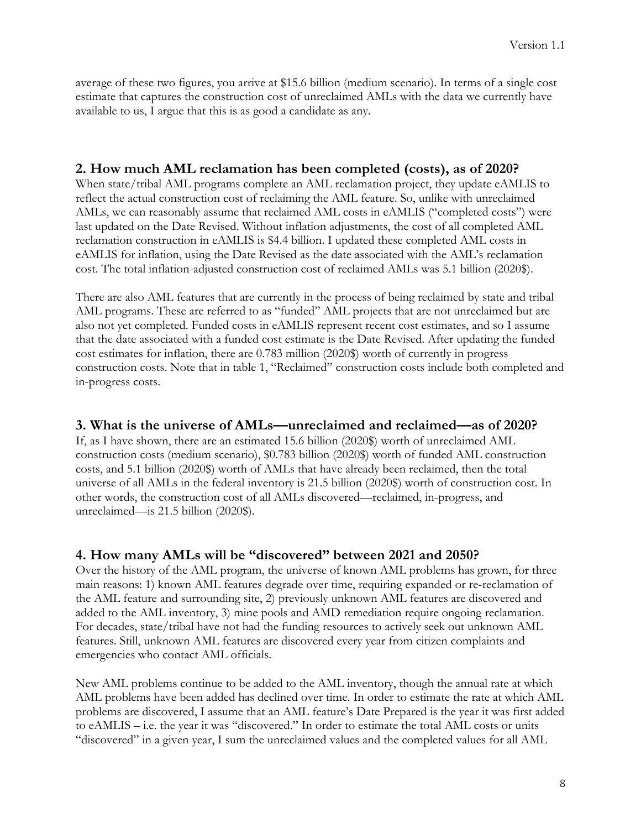average of these two figures, you arrive at \$15.6 billion (medium scenario). In terms of a single cost estimate that captures the construction cost of unreclaimed AMLs with the data we currently have available to us, I argue that this is as good a candidate as any.

### **2. How much AML reclamation has been completed (costs), as of 2020?**

When state/tribal AML programs complete an AML reclamation project, they update eAMLIS to reflect the actual construction cost of reclaiming the AML feature. So, unlike with unreclaimed AMLs, we can reasonably assume that reclaimed AML costs in eAMLIS ("completed costs") were last updated on the Date Revised. Without inflation adjustments, the cost of all completed AML reclamation construction in eAMLIS is \$4.4 billion. I updated these completed AML costs in eAMLIS for inflation, using the Date Revised as the date associated with the AML's reclamation cost. The total inflation-adjusted construction cost of reclaimed AMLs was 5.1 billion (2020\$).

There are also AML features that are currently in the process of being reclaimed by state and tribal AML programs. These are referred to as "funded" AML projects that are not unreclaimed but are also not yet completed. Funded costs in eAMLIS represent recent cost estimates, and so I assume that the date associated with a funded cost estimate is the Date Revised. After updating the funded cost estimates for inflation, there are 0.783 million (2020\$) worth of currently in progress construction costs. Note that in table 1, "Reclaimed" construction costs include both completed and in-progress costs.

### **3. What is the universe of AMLs—unreclaimed and reclaimed—as of 2020?**

If, as I have shown, there are an estimated 15.6 billion (2020\$) worth of unreclaimed AML construction costs (medium scenario), \$0.783 billion (2020\$) worth of funded AML construction costs, and 5.1 billion (2020\$) worth of AMLs that have already been reclaimed, then the total universe of all AMLs in the federal inventory is 21.5 billion (2020\$) worth of construction cost. In other words, the construction cost of all AMLs discovered—reclaimed, in-progress, and unreclaimed—is 21.5 billion (2020\$).

### **4. How many AMLs will be "discovered" between 2021 and 2050?**

Over the history of the AML program, the universe of known AML problems has grown, for three main reasons: 1) known AML features degrade over time, requiring expanded or re-reclamation of the AML feature and surrounding site, 2) previously unknown AML features are discovered and added to the AML inventory, 3) mine pools and AMD remediation require ongoing reclamation. For decades, state/tribal have not had the funding resources to actively seek out unknown AML features. Still, unknown AML features are discovered every year from citizen complaints and emergencies who contact AML officials.

New AML problems continue to be added to the AML inventory, though the annual rate at which AML problems have been added has declined over time. In order to estimate the rate at which AML problems are discovered, I assume that an AML feature's Date Prepared is the year it was first added to eAMLIS – i.e. the year it was "discovered." In order to estimate the total AML costs or units "discovered" in a given year, I sum the unreclaimed values and the completed values for all AML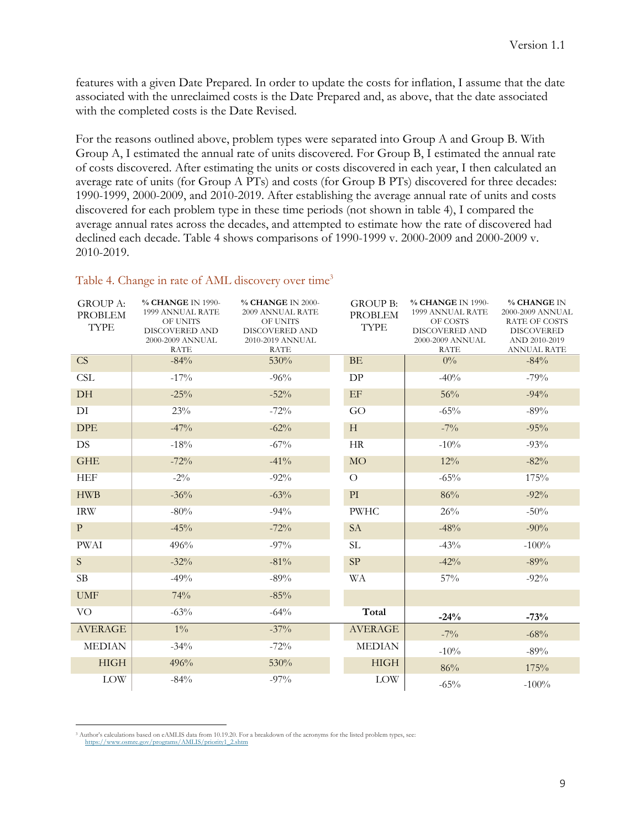features with a given Date Prepared. In order to update the costs for inflation, I assume that the date associated with the unreclaimed costs is the Date Prepared and, as above, that the date associated with the completed costs is the Date Revised.

For the reasons outlined above, problem types were separated into Group A and Group B. With Group A, I estimated the annual rate of units discovered. For Group B, I estimated the annual rate of costs discovered. After estimating the units or costs discovered in each year, I then calculated an average rate of units (for Group A PTs) and costs (for Group B PTs) discovered for three decades: 1990-1999, 2000-2009, and 2010-2019. After establishing the average annual rate of units and costs discovered for each problem type in these time periods (not shown in table 4), I compared the average annual rates across the decades, and attempted to estimate how the rate of discovered had declined each decade. Table 4 shows comparisons of 1990-1999 v. 2000-2009 and 2000-2009 v. 2010-2019.

| <b>GROUP A:</b><br><b>PROBLEM</b> | % CHANGE IN 1990-<br>1999 ANNUAL RATE<br>OF UNITS | % CHANGE IN 2000-<br>2009 ANNUAL RATE<br>OF UNITS | <b>GROUP B:</b><br><b>PROBLEM</b> | % CHANGE IN 1990-<br>1999 ANNUAL RATE<br>OF COSTS | % CHANGE IN<br>2000-2009 ANNUAL<br><b>RATE OF COSTS</b> |
|-----------------------------------|---------------------------------------------------|---------------------------------------------------|-----------------------------------|---------------------------------------------------|---------------------------------------------------------|
| <b>TYPE</b>                       | <b>DISCOVERED AND</b>                             | <b>DISCOVERED AND</b>                             | <b>TYPE</b>                       | <b>DISCOVERED AND</b>                             | <b>DISCOVERED</b>                                       |
|                                   | 2000-2009 ANNUAL                                  | 2010-2019 ANNUAL                                  |                                   | 2000-2009 ANNUAL                                  | AND 2010-2019                                           |
|                                   | <b>RATE</b>                                       | <b>RATE</b>                                       |                                   | <b>RATE</b>                                       | <b>ANNUAL RATE</b>                                      |
| CS                                | $-84%$                                            | 530%                                              | <b>BE</b>                         | $0\%$                                             | $-84%$                                                  |
| <b>CSL</b>                        | $-17%$                                            | $-96%$                                            | DP                                | $-40%$                                            | $-79%$                                                  |
| DH                                | $-25%$                                            | $-52%$                                            | EF                                | 56%                                               | $-94%$                                                  |
| DI                                | 23%                                               | $-72%$                                            | GO                                | $-65%$                                            | $-89%$                                                  |
| <b>DPE</b>                        | $-47%$                                            | $-62%$                                            | H                                 | $-7\%$                                            | $-95%$                                                  |
| <b>DS</b>                         | $-18%$                                            | $-67\%$                                           | HR                                | $-10\%$                                           | $-93%$                                                  |
| <b>GHE</b>                        | $-72%$                                            | $-41\%$                                           | <b>MO</b>                         | 12%                                               | $-82%$                                                  |
| <b>HEF</b>                        | $-2\%$                                            | $-92\%$                                           | $\Omega$                          | $-65%$                                            | 175%                                                    |
| <b>HWB</b>                        | $-36%$                                            | $-63%$                                            | $\mathop{\rm PI}\nolimits$        | 86%                                               | $-92%$                                                  |
| <b>IRW</b>                        | $-80%$                                            | $-94%$                                            | <b>PWHC</b>                       | 26%                                               | $-50\%$                                                 |
| $\mathbf{P}$                      | $-45%$                                            | $-72%$                                            | <b>SA</b>                         | $-48%$                                            | $-90\%$                                                 |
| <b>PWAI</b>                       | 496%                                              | $-97\%$                                           | SL.                               | $-43%$                                            | $-100%$                                                 |
| S.                                | $-32%$                                            | $-81\%$                                           | SP                                | $-42%$                                            | $-89%$                                                  |
| SB                                | $-49%$                                            | $-89%$                                            | <b>WA</b>                         | 57%                                               | $-92%$                                                  |
| <b>UMF</b>                        | 74%                                               | $-85%$                                            |                                   |                                                   |                                                         |
| VO                                | $-63%$                                            | $-64%$                                            | Total                             | $-24%$                                            | $-73%$                                                  |
| <b>AVERAGE</b>                    | $1\%$                                             | $-37\%$                                           | <b>AVERAGE</b>                    | $-7\%$                                            | $-68%$                                                  |
| <b>MEDIAN</b>                     | $-34\%$                                           | $-72%$                                            | <b>MEDIAN</b>                     | $-10%$                                            | $-89%$                                                  |
| <b>HIGH</b>                       | 496%                                              | 530%                                              | <b>HIGH</b>                       | 86%                                               | 175%                                                    |
| <b>LOW</b>                        | $-84%$                                            | $-97\%$                                           | <b>LOW</b>                        | $-65%$                                            | $-100%$                                                 |

#### Table 4. Change in rate of AML discovery over time<sup>3</sup>

<sup>3</sup> Author's calculations based on eAMLIS data from 10.19.20. For a breakdown of the acronyms for the listed problem types, see: https://www.osmre.gov/programs/AMLIS/priority1\_2.shtm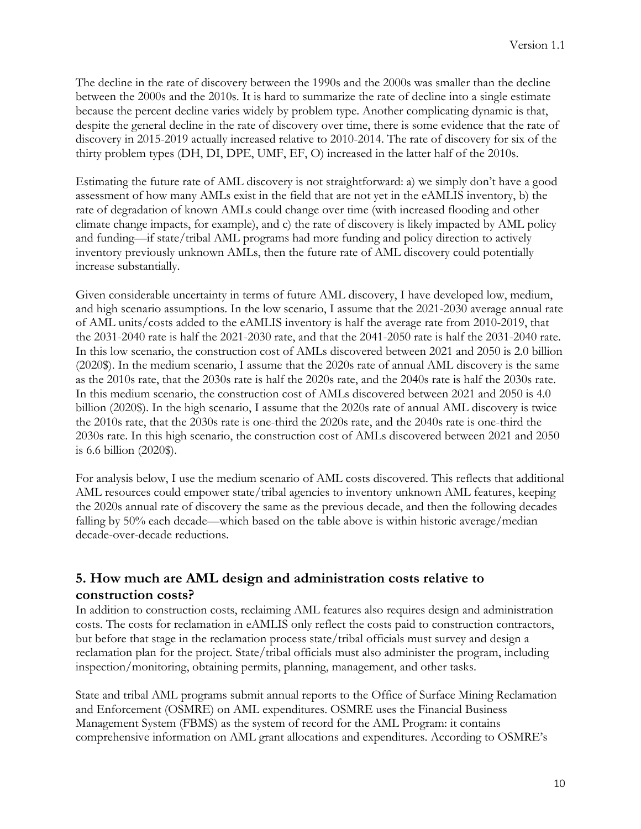The decline in the rate of discovery between the 1990s and the 2000s was smaller than the decline between the 2000s and the 2010s. It is hard to summarize the rate of decline into a single estimate because the percent decline varies widely by problem type. Another complicating dynamic is that, despite the general decline in the rate of discovery over time, there is some evidence that the rate of discovery in 2015-2019 actually increased relative to 2010-2014. The rate of discovery for six of the thirty problem types (DH, DI, DPE, UMF, EF, O) increased in the latter half of the 2010s.

Estimating the future rate of AML discovery is not straightforward: a) we simply don't have a good assessment of how many AMLs exist in the field that are not yet in the eAMLIS inventory, b) the rate of degradation of known AMLs could change over time (with increased flooding and other climate change impacts, for example), and c) the rate of discovery is likely impacted by AML policy and funding—if state/tribal AML programs had more funding and policy direction to actively inventory previously unknown AMLs, then the future rate of AML discovery could potentially increase substantially.

Given considerable uncertainty in terms of future AML discovery, I have developed low, medium, and high scenario assumptions. In the low scenario, I assume that the 2021-2030 average annual rate of AML units/costs added to the eAMLIS inventory is half the average rate from 2010-2019, that the 2031-2040 rate is half the 2021-2030 rate, and that the 2041-2050 rate is half the 2031-2040 rate. In this low scenario, the construction cost of AMLs discovered between 2021 and 2050 is 2.0 billion (2020\$). In the medium scenario, I assume that the 2020s rate of annual AML discovery is the same as the 2010s rate, that the 2030s rate is half the 2020s rate, and the 2040s rate is half the 2030s rate. In this medium scenario, the construction cost of AMLs discovered between 2021 and 2050 is 4.0 billion (2020\$). In the high scenario, I assume that the 2020s rate of annual AML discovery is twice the 2010s rate, that the 2030s rate is one-third the 2020s rate, and the 2040s rate is one-third the 2030s rate. In this high scenario, the construction cost of AMLs discovered between 2021 and 2050 is 6.6 billion (2020\$).

For analysis below, I use the medium scenario of AML costs discovered. This reflects that additional AML resources could empower state/tribal agencies to inventory unknown AML features, keeping the 2020s annual rate of discovery the same as the previous decade, and then the following decades falling by 50% each decade—which based on the table above is within historic average/median decade-over-decade reductions.

# **5. How much are AML design and administration costs relative to construction costs?**

In addition to construction costs, reclaiming AML features also requires design and administration costs. The costs for reclamation in eAMLIS only reflect the costs paid to construction contractors, but before that stage in the reclamation process state/tribal officials must survey and design a reclamation plan for the project. State/tribal officials must also administer the program, including inspection/monitoring, obtaining permits, planning, management, and other tasks.

State and tribal AML programs submit annual reports to the Office of Surface Mining Reclamation and Enforcement (OSMRE) on AML expenditures. OSMRE uses the Financial Business Management System (FBMS) as the system of record for the AML Program: it contains comprehensive information on AML grant allocations and expenditures. According to OSMRE's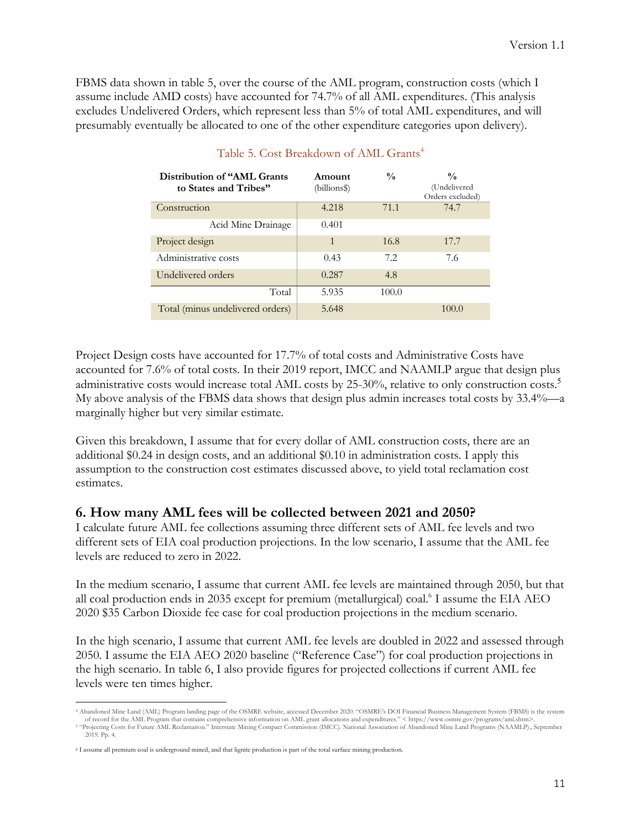FBMS data shown in table 5, over the course of the AML program, construction costs (which I assume include AMD costs) have accounted for 74.7% of all AML expenditures. (This analysis excludes Undelivered Orders, which represent less than 5% of total AML expenditures, and will presumably eventually be allocated to one of the other expenditure categories upon delivery).

| Distribution of "AML Grants"<br>to States and Tribes" | Amount<br>(billions\$) | $\frac{0}{0}$ | $\frac{0}{0}$<br>(Undelivered<br>Orders excluded) |
|-------------------------------------------------------|------------------------|---------------|---------------------------------------------------|
| Construction                                          | 4.218                  | 71.1          | 74.7                                              |
| Acid Mine Drainage                                    | 0.401                  |               |                                                   |
| Project design                                        | 1                      | 16.8          | 17.7                                              |
| Administrative costs                                  | 0.43                   | 7.2           | 7.6                                               |
| Undelivered orders                                    | 0.287                  | 4.8           |                                                   |
| Total                                                 | 5.935                  | 100.0         |                                                   |
| Total (minus undelivered orders)                      | 5.648                  |               | 100.0                                             |

#### Table 5. Cost Breakdown of AML Grants<sup>4</sup>

Project Design costs have accounted for 17.7% of total costs and Administrative Costs have accounted for 7.6% of total costs. In their 2019 report, IMCC and NAAMLP argue that design plus administrative costs would increase total AML costs by 25-30%, relative to only construction costs.<sup>5</sup> My above analysis of the FBMS data shows that design plus admin increases total costs by 33.4%—a marginally higher but very similar estimate.

Given this breakdown, I assume that for every dollar of AML construction costs, there are an additional \$0.24 in design costs, and an additional \$0.10 in administration costs. I apply this assumption to the construction cost estimates discussed above, to yield total reclamation cost estimates.

### **6. How many AML fees will be collected between 2021 and 2050?**

I calculate future AML fee collections assuming three different sets of AML fee levels and two different sets of EIA coal production projections. In the low scenario, I assume that the AML fee levels are reduced to zero in 2022.

In the medium scenario, I assume that current AML fee levels are maintained through 2050, but that all coal production ends in 2035 except for premium (metallurgical) coal.<sup>6</sup> I assume the EIA AEO 2020 \$35 Carbon Dioxide fee case for coal production projections in the medium scenario.

In the high scenario, I assume that current AML fee levels are doubled in 2022 and assessed through 2050. I assume the EIA AEO 2020 baseline ("Reference Case") for coal production projections in the high scenario. In table 6, I also provide figures for projected collections if current AML fee levels were ten times higher.

<sup>4</sup> Abandoned Mine Land (AML) Program landing page of the OSMRE website, accessed December 2020. "OSMRE's DOI Financial Business Management System (FBMS) is the system of record for the AML Program that contains comprehensive information on AML grant allocations and expenditures." < https://www.osmre.gov/programs/aml.shtm>.

<sup>5</sup> "Projecting Costs for Future AML Reclamation." Interstate Mining Compact Commission (IMCC). National Association of Abandoned Mine Land Programs (NAAMLP)., September 2019. Pp. 4.

<sup>6</sup> I assume all premium coal is underground mined, and that lignite production is part of the total surface mining production.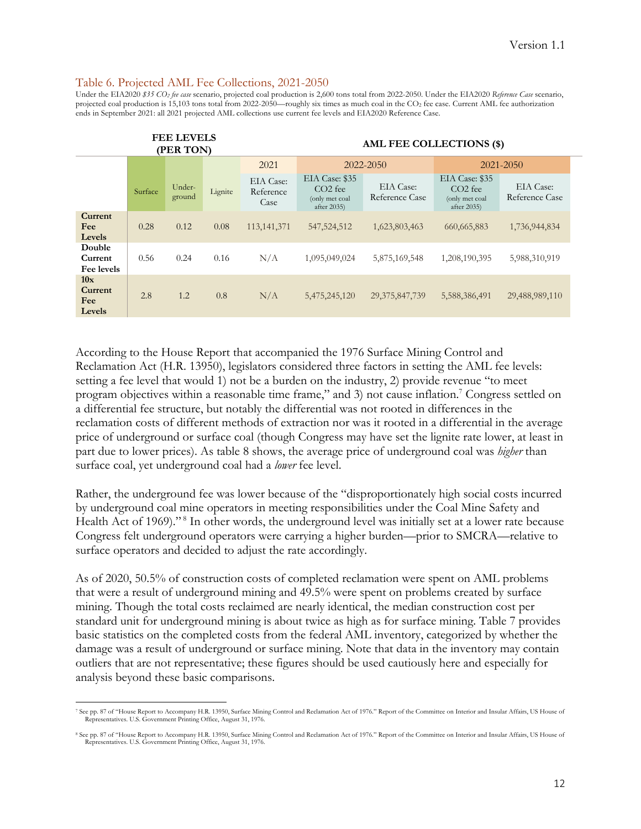#### Table 6. Projected AML Fee Collections, 2021-2050

Under the EIA2020 *\$35 CO2 fee case* scenario, projected coal production is 2,600 tons total from 2022-2050. Under the EIA2020 *Reference Case* scenario, projected coal production is 15,103 tons total from 2022-2050—roughly six times as much coal in the CO2 fee case. Current AML fee authorization ends in September 2021: all 2021 projected AML collections use current fee levels and EIA2020 Reference Case.

|                                 | <b>FEE LEVELS</b><br>(PER TON) |                  |         | AML FEE COLLECTIONS (\$)       |                                                                        |                             |                                                                        |                             |
|---------------------------------|--------------------------------|------------------|---------|--------------------------------|------------------------------------------------------------------------|-----------------------------|------------------------------------------------------------------------|-----------------------------|
|                                 |                                |                  |         | 2021                           |                                                                        | 2022-2050                   |                                                                        | 2021-2050                   |
|                                 | Surface                        | Under-<br>ground | Lignite | EIA Case:<br>Reference<br>Case | EIA Case: \$35<br>CO <sub>2</sub> fee<br>(only met coal<br>after 2035) | EIA Case:<br>Reference Case | EIA Case: \$35<br>CO <sub>2</sub> fee<br>(only met coal<br>after 2035) | EIA Case:<br>Reference Case |
| Current<br>Fee<br>Levels        | 0.28                           | 0.12             | 0.08    | 113, 141, 371                  | 547, 524, 512                                                          | 1,623,803,463               | 660, 665, 883                                                          | 1,736,944,834               |
| Double<br>Current<br>Fee levels | 0.56                           | 0.24             | 0.16    | N/A                            | 1,095,049,024                                                          | 5,875,169,548               | 1,208,190,395                                                          | 5,988,310,919               |
| 10x<br>Current<br>Fee<br>Levels | 2.8                            | 1.2              | 0.8     | N/A                            | 5,475,245,120                                                          | 29, 375, 847, 739           | 5,588,386,491                                                          | 29,488,989,110              |

According to the House Report that accompanied the 1976 Surface Mining Control and Reclamation Act (H.R. 13950), legislators considered three factors in setting the AML fee levels: setting a fee level that would 1) not be a burden on the industry, 2) provide revenue "to meet program objectives within a reasonable time frame," and 3) not cause inflation.7 Congress settled on a differential fee structure, but notably the differential was not rooted in differences in the reclamation costs of different methods of extraction nor was it rooted in a differential in the average price of underground or surface coal (though Congress may have set the lignite rate lower, at least in part due to lower prices). As table 8 shows, the average price of underground coal was *higher* than surface coal, yet underground coal had a *lower* fee level.

Rather, the underground fee was lower because of the "disproportionately high social costs incurred by underground coal mine operators in meeting responsibilities under the Coal Mine Safety and Health Act of 1969)."<sup>8</sup> In other words, the underground level was initially set at a lower rate because Congress felt underground operators were carrying a higher burden—prior to SMCRA—relative to surface operators and decided to adjust the rate accordingly.

As of 2020, 50.5% of construction costs of completed reclamation were spent on AML problems that were a result of underground mining and 49.5% were spent on problems created by surface mining. Though the total costs reclaimed are nearly identical, the median construction cost per standard unit for underground mining is about twice as high as for surface mining. Table 7 provides basic statistics on the completed costs from the federal AML inventory, categorized by whether the damage was a result of underground or surface mining. Note that data in the inventory may contain outliers that are not representative; these figures should be used cautiously here and especially for analysis beyond these basic comparisons.

<sup>7</sup> See pp. 87 of "House Report to Accompany H.R. 13950, Surface Mining Control and Reclamation Act of 1976." Report of the Committee on Interior and Insular Affairs, US House of Representatives. U.S. Government Printing Office, August 31, 1976.

<sup>8</sup> See pp. 87 of "House Report to Accompany H.R. 13950, Surface Mining Control and Reclamation Act of 1976." Report of the Committee on Interior and Insular Affairs, US House of Representatives. U.S. Government Printing Office, August 31, 1976.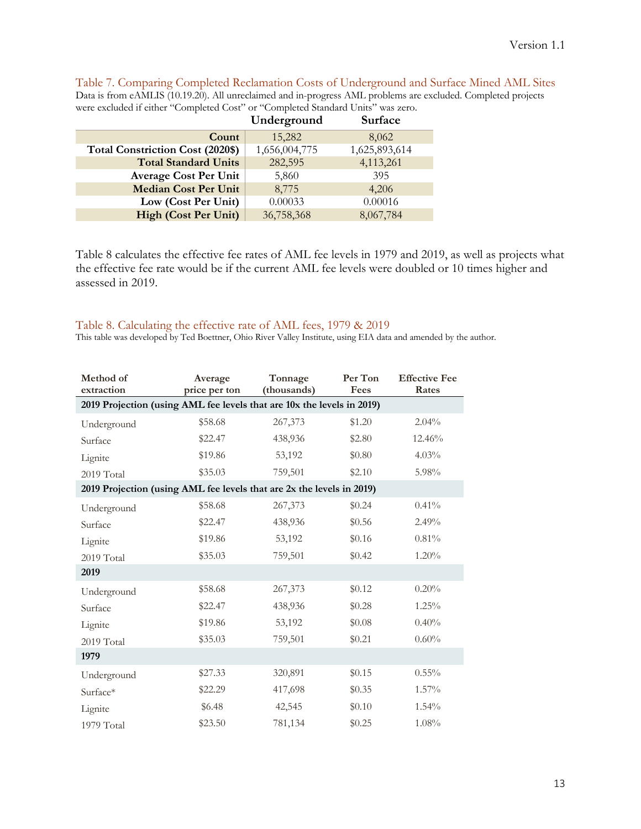Table 7. Comparing Completed Reclamation Costs of Underground and Surface Mined AML Sites Data is from eAMLIS (10.19.20). All unreclaimed and in-progress AML problems are excluded. Completed projects were excluded if either "Completed Cost" or "Completed Standard Units" was zero.

|                                         | Underground   | Surface       |
|-----------------------------------------|---------------|---------------|
| Count                                   | 15,282        | 8,062         |
| <b>Total Constriction Cost (2020\$)</b> | 1,656,004,775 | 1,625,893,614 |
| <b>Total Standard Units</b>             | 282,595       | 4,113,261     |
| <b>Average Cost Per Unit</b>            | 5,860         | 395           |
| <b>Median Cost Per Unit</b>             | 8,775         | 4,206         |
| Low (Cost Per Unit)                     | 0.00033       | 0.00016       |
| <b>High (Cost Per Unit)</b>             | 36,758,368    | 8,067,784     |

Table 8 calculates the effective fee rates of AML fee levels in 1979 and 2019, as well as projects what the effective fee rate would be if the current AML fee levels were doubled or 10 times higher and assessed in 2019.

#### Table 8. Calculating the effective rate of AML fees, 1979 & 2019

This table was developed by Ted Boettner, Ohio River Valley Institute, using EIA data and amended by the author.

| Method of<br>extraction                                                | Average<br>price per ton | Tonnage<br>(thousands) | Per Ton<br>Fees | <b>Effective Fee</b><br>Rates |
|------------------------------------------------------------------------|--------------------------|------------------------|-----------------|-------------------------------|
| 2019 Projection (using AML fee levels that are 10x the levels in 2019) |                          |                        |                 |                               |
| Underground                                                            | \$58.68                  | 267,373                | \$1.20          | $2.04\%$                      |
| Surface                                                                | \$22.47                  | 438,936                | \$2.80          | 12.46%                        |
| Lignite                                                                | \$19.86                  | 53,192                 | \$0.80          | $4.03\%$                      |
| 2019 Total                                                             | \$35.03                  | 759,501                | \$2.10          | 5.98%                         |
| 2019 Projection (using AML fee levels that are 2x the levels in 2019)  |                          |                        |                 |                               |
| Underground                                                            | \$58.68                  | 267,373                | \$0.24          | 0.41%                         |
| Surface                                                                | \$22.47                  | 438,936                | \$0.56          | 2.49%                         |
| Lignite                                                                | \$19.86                  | 53,192                 | \$0.16          | 0.81%                         |
| 2019 Total                                                             | \$35.03                  | 759,501                | \$0.42          | 1.20%                         |
| 2019                                                                   |                          |                        |                 |                               |
| Underground                                                            | \$58.68                  | 267,373                | \$0.12          | 0.20%                         |
| Surface                                                                | \$22.47                  | 438,936                | \$0.28          | $1.25\%$                      |
| Lignite                                                                | \$19.86                  | 53,192                 | \$0.08          | 0.40%                         |
| 2019 Total                                                             | \$35.03                  | 759,501                | \$0.21          | 0.60%                         |
| 1979                                                                   |                          |                        |                 |                               |
| Underground                                                            | \$27.33                  | 320,891                | \$0.15          | $0.55\%$                      |
| Surface*                                                               | \$22.29                  | 417,698                | \$0.35          | $1.57\%$                      |
| Lignite                                                                | \$6.48                   | 42,545                 | \$0.10          | 1.54%                         |
| 1979 Total                                                             | \$23.50                  | 781,134                | \$0.25          | 1.08%                         |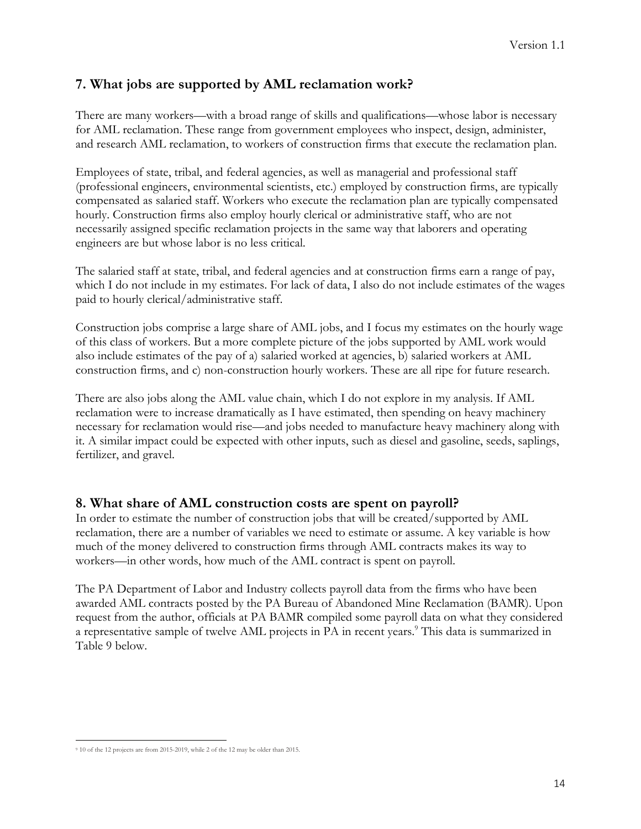# **7. What jobs are supported by AML reclamation work?**

There are many workers—with a broad range of skills and qualifications—whose labor is necessary for AML reclamation. These range from government employees who inspect, design, administer, and research AML reclamation, to workers of construction firms that execute the reclamation plan.

Employees of state, tribal, and federal agencies, as well as managerial and professional staff (professional engineers, environmental scientists, etc.) employed by construction firms, are typically compensated as salaried staff. Workers who execute the reclamation plan are typically compensated hourly. Construction firms also employ hourly clerical or administrative staff, who are not necessarily assigned specific reclamation projects in the same way that laborers and operating engineers are but whose labor is no less critical.

The salaried staff at state, tribal, and federal agencies and at construction firms earn a range of pay, which I do not include in my estimates. For lack of data, I also do not include estimates of the wages paid to hourly clerical/administrative staff.

Construction jobs comprise a large share of AML jobs, and I focus my estimates on the hourly wage of this class of workers. But a more complete picture of the jobs supported by AML work would also include estimates of the pay of a) salaried worked at agencies, b) salaried workers at AML construction firms, and c) non-construction hourly workers. These are all ripe for future research.

There are also jobs along the AML value chain, which I do not explore in my analysis. If AML reclamation were to increase dramatically as I have estimated, then spending on heavy machinery necessary for reclamation would rise—and jobs needed to manufacture heavy machinery along with it. A similar impact could be expected with other inputs, such as diesel and gasoline, seeds, saplings, fertilizer, and gravel.

### **8. What share of AML construction costs are spent on payroll?**

In order to estimate the number of construction jobs that will be created/supported by AML reclamation, there are a number of variables we need to estimate or assume. A key variable is how much of the money delivered to construction firms through AML contracts makes its way to workers—in other words, how much of the AML contract is spent on payroll.

The PA Department of Labor and Industry collects payroll data from the firms who have been awarded AML contracts posted by the PA Bureau of Abandoned Mine Reclamation (BAMR). Upon request from the author, officials at PA BAMR compiled some payroll data on what they considered a representative sample of twelve AML projects in PA in recent years.<sup>9</sup> This data is summarized in Table 9 below.

<sup>9</sup> 10 of the 12 projects are from 2015-2019, while 2 of the 12 may be older than 2015.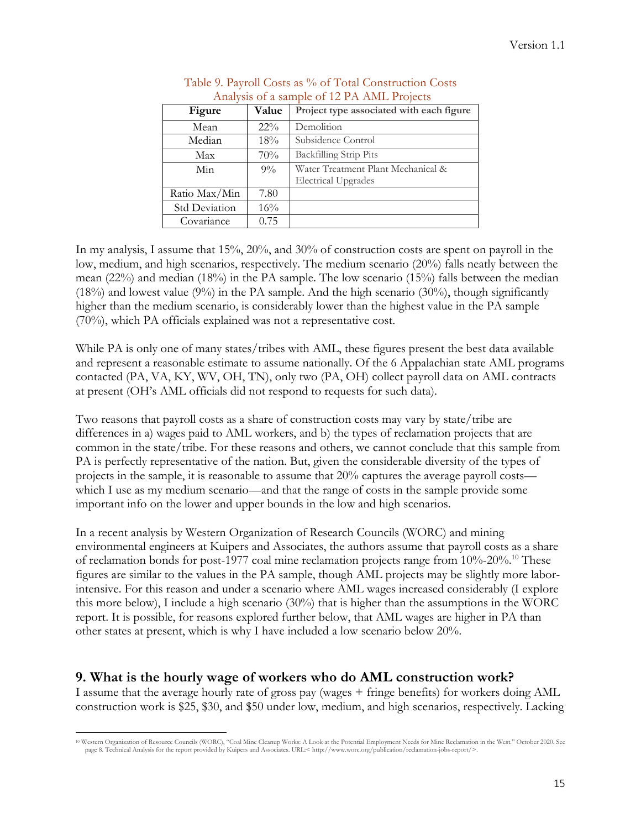| Figure               | Value  | Project type associated with each figure |  |  |  |
|----------------------|--------|------------------------------------------|--|--|--|
| Mean                 | $22\%$ | Demolition                               |  |  |  |
| Median               | 18%    | Subsidence Control                       |  |  |  |
| Max                  | 70%    | <b>Backfilling Strip Pits</b>            |  |  |  |
| Min                  | $9\%$  | Water Treatment Plant Mechanical &       |  |  |  |
|                      |        | <b>Electrical Upgrades</b>               |  |  |  |
| Ratio Max/Min        | 7.80   |                                          |  |  |  |
| <b>Std Deviation</b> | 16%    |                                          |  |  |  |
| Covariance           | 0.75   |                                          |  |  |  |

| Table 9. Payroll Costs as % of Total Construction Costs |
|---------------------------------------------------------|
| Analysis of a sample of 12 PA AML Projects              |

In my analysis, I assume that 15%, 20%, and 30% of construction costs are spent on payroll in the low, medium, and high scenarios, respectively. The medium scenario (20%) falls neatly between the mean (22%) and median (18%) in the PA sample. The low scenario (15%) falls between the median  $(18%)$  and lowest value  $(9%)$  in the PA sample. And the high scenario  $(30%)$ , though significantly higher than the medium scenario, is considerably lower than the highest value in the PA sample (70%), which PA officials explained was not a representative cost.

While PA is only one of many states/tribes with AML, these figures present the best data available and represent a reasonable estimate to assume nationally. Of the 6 Appalachian state AML programs contacted (PA, VA, KY, WV, OH, TN), only two (PA, OH) collect payroll data on AML contracts at present (OH's AML officials did not respond to requests for such data).

Two reasons that payroll costs as a share of construction costs may vary by state/tribe are differences in a) wages paid to AML workers, and b) the types of reclamation projects that are common in the state/tribe. For these reasons and others, we cannot conclude that this sample from PA is perfectly representative of the nation. But, given the considerable diversity of the types of projects in the sample, it is reasonable to assume that 20% captures the average payroll costs which I use as my medium scenario—and that the range of costs in the sample provide some important info on the lower and upper bounds in the low and high scenarios.

In a recent analysis by Western Organization of Research Councils (WORC) and mining environmental engineers at Kuipers and Associates, the authors assume that payroll costs as a share of reclamation bonds for post-1977 coal mine reclamation projects range from 10%-20%.10 These figures are similar to the values in the PA sample, though AML projects may be slightly more laborintensive. For this reason and under a scenario where AML wages increased considerably (I explore this more below), I include a high scenario (30%) that is higher than the assumptions in the WORC report. It is possible, for reasons explored further below, that AML wages are higher in PA than other states at present, which is why I have included a low scenario below 20%.

### **9. What is the hourly wage of workers who do AML construction work?**

I assume that the average hourly rate of gross pay (wages + fringe benefits) for workers doing AML construction work is \$25, \$30, and \$50 under low, medium, and high scenarios, respectively. Lacking

<sup>10</sup> Western Organization of Resource Councils (WORC), "Coal Mine Cleanup Works: A Look at the Potential Employment Needs for Mine Reclamation in the West." October 2020. See page 8. Technical Analysis for the report provided by Kuipers and Associates. URL:< http://www.worc.org/publication/reclamation-jobs-report/>.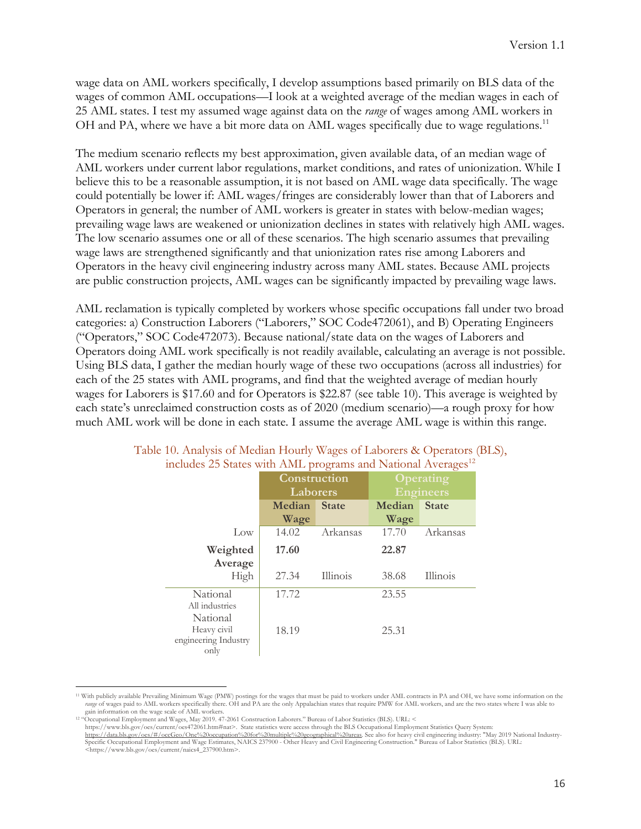wage data on AML workers specifically, I develop assumptions based primarily on BLS data of the wages of common AML occupations—I look at a weighted average of the median wages in each of 25 AML states. I test my assumed wage against data on the *range* of wages among AML workers in OH and PA, where we have a bit more data on AML wages specifically due to wage regulations.<sup>11</sup>

The medium scenario reflects my best approximation, given available data, of an median wage of AML workers under current labor regulations, market conditions, and rates of unionization. While I believe this to be a reasonable assumption, it is not based on AML wage data specifically. The wage could potentially be lower if: AML wages/fringes are considerably lower than that of Laborers and Operators in general; the number of AML workers is greater in states with below-median wages; prevailing wage laws are weakened or unionization declines in states with relatively high AML wages. The low scenario assumes one or all of these scenarios. The high scenario assumes that prevailing wage laws are strengthened significantly and that unionization rates rise among Laborers and Operators in the heavy civil engineering industry across many AML states. Because AML projects are public construction projects, AML wages can be significantly impacted by prevailing wage laws.

AML reclamation is typically completed by workers whose specific occupations fall under two broad categories: a) Construction Laborers ("Laborers," SOC Code472061), and B) Operating Engineers ("Operators," SOC Code472073). Because national/state data on the wages of Laborers and Operators doing AML work specifically is not readily available, calculating an average is not possible. Using BLS data, I gather the median hourly wage of these two occupations (across all industries) for each of the 25 states with AML programs, and find that the weighted average of median hourly wages for Laborers is \$17.60 and for Operators is \$22.87 (see table 10). This average is weighted by each state's unreclaimed construction costs as of 2020 (medium scenario)—a rough proxy for how much AML work will be done in each state. I assume the average AML wage is within this range.

| menado 20 outros with their programs and traditional tryenges |               |              |                  |                  |  |  |  |  |
|---------------------------------------------------------------|---------------|--------------|------------------|------------------|--|--|--|--|
|                                                               | Construction  |              |                  | <b>Operating</b> |  |  |  |  |
|                                                               | Laborers      |              | <b>Engineers</b> |                  |  |  |  |  |
|                                                               | <b>Median</b> | <b>State</b> | Median           | <b>State</b>     |  |  |  |  |
|                                                               | Wage          |              | Wage             |                  |  |  |  |  |
| Low                                                           | 14.02         | Arkansas     | 17.70            | Arkansas         |  |  |  |  |
| Weighted                                                      | 17.60         |              | 22.87            |                  |  |  |  |  |
| Average                                                       |               |              |                  |                  |  |  |  |  |
| High                                                          | 27.34         | Illinois     | 38.68            | Illinois         |  |  |  |  |
| National                                                      | 17.72         |              | 23.55            |                  |  |  |  |  |
| All industries                                                |               |              |                  |                  |  |  |  |  |
| National                                                      |               |              |                  |                  |  |  |  |  |
| Heavy civil                                                   | 18.19         |              | 25.31            |                  |  |  |  |  |
| engineering Industry                                          |               |              |                  |                  |  |  |  |  |
| only                                                          |               |              |                  |                  |  |  |  |  |

#### Table 10. Analysis of Median Hourly Wages of Laborers & Operators (BLS), includes  $25$  States with AML programs and National Averages<sup>12</sup>

<sup>11</sup> With publicly available Prevailing Minimum Wage (PMW) postings for the wages that must be paid to workers under AML contracts in PA and OH, we have some information on the *range* of wages paid to AML workers specifically there. OH and PA are the only Appalachian states that require PMW for AML workers, and are the two states where I was able to gain information on the wage scale of AML work

<sup>&</sup>lt;sup>12</sup> "Occupational Employment and Wages, May 2019. 47-2061 Construction Laborers." Bureau of Labor Statistics (BLS). URL: <

https://www.bls.gov/oes/current/oes472061.htm#nat>. State statistics were access through the BLS Occupational Employment Statistics Query System:

https://data.bls.gov/oes/#/occGeo/One%20occupation%20for%20multiple%20geographical%20areas. See also for heavy civil engineering industry: "May 2019 National Industry-<br>Specific Occupational Employment and Wage Estimates, N <https://www.bls.gov/oes/current/naics4\_237900.htm>.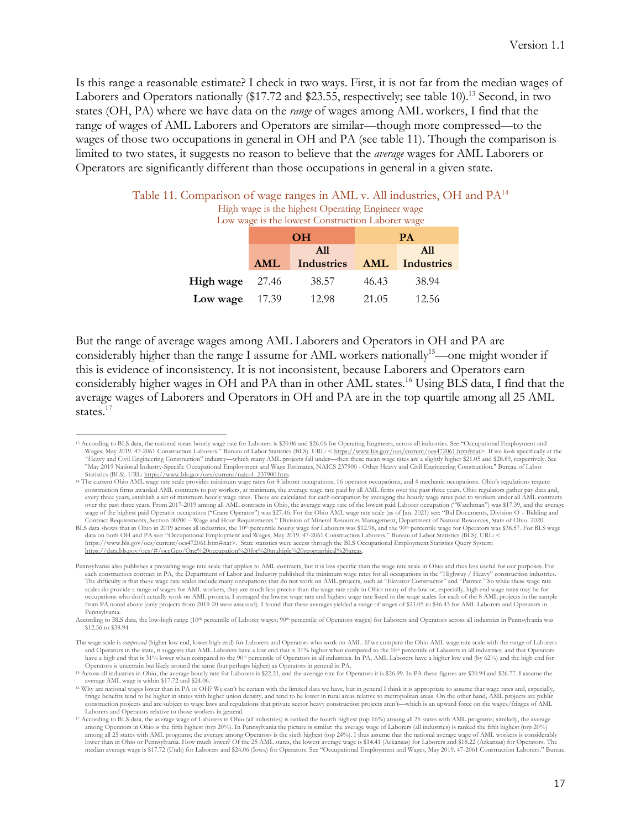Is this range a reasonable estimate? I check in two ways. First, it is not far from the median wages of Laborers and Operators nationally (\$17.72 and \$23.55, respectively; see table 10).<sup>13</sup> Second, in two states (OH, PA) where we have data on the *range* of wages among AML workers, I find that the range of wages of AML Laborers and Operators are similar—though more compressed—to the wages of those two occupations in general in OH and PA (see table 11). Though the comparison is limited to two states, it suggests no reason to believe that the *average* wages for AML Laborers or Operators are significantly different than those occupations in general in a given state.

Table 11. Comparison of wage ranges in AML v. All industries, OH and PA<sup>14</sup> High wage is the highest Operating Engineer wage  $\frac{1}{2}$  is the lowest Construction Laborer

|           | LOW wage is the lowest Construction Laborer wage |  |  |  |  |  |
|-----------|--------------------------------------------------|--|--|--|--|--|
| <b>OH</b> | <b>PA</b>                                        |  |  |  |  |  |

|                          |            | A11                       |       | A11   |
|--------------------------|------------|---------------------------|-------|-------|
|                          | <b>AML</b> | Industries AML Industries |       |       |
| <b>High wage</b> $27.46$ |            | 38.57                     | 46.43 | 38.94 |
| Low wage $17.39$         |            | 12.98                     | 21.05 | 12.56 |

But the range of average wages among AML Laborers and Operators in OH and PA are considerably higher than the range I assume for AML workers nationally<sup>15</sup>—one might wonder if this is evidence of inconsistency. It is not inconsistent, because Laborers and Operators earn considerably higher wages in OH and PA than in other AML states.16 Using BLS data, I find that the average wages of Laborers and Operators in OH and PA are in the top quartile among all 25 AML states.<sup>17</sup>

<sup>&</sup>lt;sup>13</sup> According to BLS data, the national mean hourly wage rate for Laborers is \$20.06 and \$26.06 for Operating Engineers, across all industries. See "Occupational Employment and<br>Wages, May 2019. 47-2061 Construction Labore "May 2019 National Industry-Specific Occupational Employment and Wage Estimates, NAICS 237900 - Other Heavy and Civil Engineering Construction." Bureau of Labor Statistics (BLS). URL: https://www.bls.gov/oes/current/naics4\_237900.htm.

<sup>14</sup> The current Ohio AML wage rate scale provides minimum wage rates for 8 laborer occupations, 16 operator occupations, and 4 mechanic occupations. Ohio's regulations require construction firms awarded AML contracts to pay workers, at minimum, the average wage rate paid by all AML firms over the past three years. Ohio regulators gather pay data and,<br>every three years, establish a set of minimum over the past three years. From 2017-2019 among all AML contracts in Ohio, the average wage rate of the lowest paid Laborer occupation ("Watchman") was \$17.39, and the average wage of the highest paid Operator occupation ("Crane Operator") was \$27.46. For the Ohio AML wage rate scale (as of Jan. 2021) see: "Bid Documents, Division O – Bidding and<br>Contract Requirements, Section 00200 – Wage and H

BLS data shows that in Ohio in 2019 across all industries, the 10<sup>th</sup> percentile hourly wage for Laborers was \$12.98, and the 90<sup>th</sup> percentile wage for Operators was \$38.57. For BLS wage data on both OH and PA see: "Occupational Employment and Wages, May 2019. 47-2061 Construction Laborers." Bureau of Labor Statistics (BLS). URL: < https://www.bls.gov/oes/current/oes472061.htm#nat>. State statistics were access through the BLS Occupational Employment Statistics Query System:<br>https://data.bls.gov/oes/#/occGeo/One%20occupation%20for%20multiple%20geogra

Pennsylvania also publishes a prevailing wage rate scale that applies to AML contracts, but it is less specific than the wage rate scale in Ohio and thus less useful for our purposes. For each construction contract in PA, the Department of Labor and Industry published the minimum wage rates for all occupations in the "Highway / Heavy" construction industries.<br>The difficulty is that these wage rate scales in scales do provide a range of wages for AML workers, they are much less precise than the wage rate scale in Ohio: many of the low or, especially, high end wage rates may be for occupations who don't actually work on AML projects. I averaged the lowest wage rate and highest wage rate listed in the wage scales for each of the 8 AML projects in the sample from PA noted above (only projects from 2019-20 were assessed). I found that these averages yielded a range of wages of \$21.05 to \$46.43 for AML Laborers and Operators in Pennsylvania.

According to BLS data, the low-high range (10<sup>th</sup> percentile of Laborer wages; 90<sup>th</sup> percentile of Operators wages) for Laborers and Operators across all industries in Pennsylvania was \$12.56 to \$38.94.

The wage scale is *compressed* (higher low end, lower high end) for Laborers and Operators who work on AML. If we compare the Ohio AML wage rate scale with the range of Laborers and Operators in the state, it suggests that AML Laborers have a low end that is 31% higher when compared to the 10<sup>th</sup> percentile of Laborers in all industries; and that Operators have a high end that is 31% lower when compared to the 90<sup>th</sup> percentile of Operators in all industries. In PA, AML Laborers have a higher low end (by 62%) and the high end for Operators is uncertain but likely around the same (but perhaps higher) as Operators in general in PA.

<sup>&</sup>lt;sup>15</sup> Across all industries in Ohio, the average hourly rate for Laborers is \$22.21, and the average rate for Operators it is \$26.99. In PA these figures are \$20.94 and \$26.77. I assume the average AML wage is within \$17.72

<sup>&</sup>lt;sup>16</sup> Why are national wages lower than in PA or OH? We can't be certain with the limited data we have, but in general I think it is appropriate to assume that wage rates and, especially, fringe benefits tend to be higher in states with higher union density, and tend to be lower in rural areas relative to metropolitan areas. On the other hand, AML projects are public construction projects and are subject to wage laws and regulations that private sector heavy construction projects aren't—which is an upward force on the wages/fringes of AML Laborers and Operators relative to those workers in general.

<sup>17</sup> According to BLS data, the average wage of Laborers in Ohio (all industries) is ranked the fourth highest (top 16%) among all 25 states with AML programs; similarly, the average among Operators in Ohio is the fifth highest (top 20%). In Pennsylvania the picture is similar: the average wage of Laborers (all industries) is ranked the fifth highest (top 20%)<br>among all 25 states with AML programs; the median average wage is \$17.72 (Utah) for Laborers and \$24.06 (Iowa) for Operators. See "Occupational Employment and Wages, May 2019. 47-2061 Construction Laborers." Bureau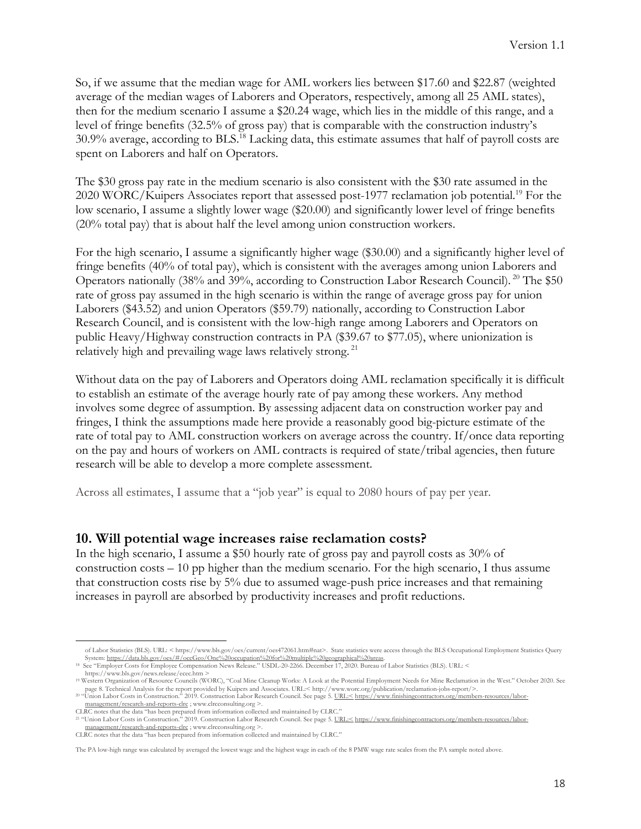So, if we assume that the median wage for AML workers lies between \$17.60 and \$22.87 (weighted average of the median wages of Laborers and Operators, respectively, among all 25 AML states), then for the medium scenario I assume a \$20.24 wage, which lies in the middle of this range, and a level of fringe benefits (32.5% of gross pay) that is comparable with the construction industry's 30.9% average, according to BLS. <sup>18</sup> Lacking data, this estimate assumes that half of payroll costs are spent on Laborers and half on Operators.

The \$30 gross pay rate in the medium scenario is also consistent with the \$30 rate assumed in the 2020 WORC/Kuipers Associates report that assessed post-1977 reclamation job potential.<sup>19</sup> For the low scenario, I assume a slightly lower wage (\$20.00) and significantly lower level of fringe benefits (20% total pay) that is about half the level among union construction workers.

For the high scenario, I assume a significantly higher wage (\$30.00) and a significantly higher level of fringe benefits (40% of total pay), which is consistent with the averages among union Laborers and Operators nationally (38% and 39%, according to Construction Labor Research Council). <sup>20</sup> The \$50 rate of gross pay assumed in the high scenario is within the range of average gross pay for union Laborers (\$43.52) and union Operators (\$59.79) nationally, according to Construction Labor Research Council, and is consistent with the low-high range among Laborers and Operators on public Heavy/Highway construction contracts in PA (\$39.67 to \$77.05), where unionization is relatively high and prevailing wage laws relatively strong. <sup>21</sup>

Without data on the pay of Laborers and Operators doing AML reclamation specifically it is difficult to establish an estimate of the average hourly rate of pay among these workers. Any method involves some degree of assumption. By assessing adjacent data on construction worker pay and fringes, I think the assumptions made here provide a reasonably good big-picture estimate of the rate of total pay to AML construction workers on average across the country. If/once data reporting on the pay and hours of workers on AML contracts is required of state/tribal agencies, then future research will be able to develop a more complete assessment.

Across all estimates, I assume that a "job year" is equal to 2080 hours of pay per year.

### **10. Will potential wage increases raise reclamation costs?**

In the high scenario, I assume a \$50 hourly rate of gross pay and payroll costs as 30% of construction costs – 10 pp higher than the medium scenario. For the high scenario, I thus assume that construction costs rise by 5% due to assumed wage-push price increases and that remaining increases in payroll are absorbed by productivity increases and profit reductions.

18 See "Employer Costs for Employee Compensation News Release." USDL-20-2266. December 17, 2020. Bureau of Labor Statistics (BLS). URL: < https://www.bls.gov/news.release/ecec.htm >

of Labor Statistics (BLS). URL: < https://www.bls.gov/oes/current/oes472061.htm#nat>. State statistics were access through the BLS Occupational Employment Statistics Query System: https://data.bls.gov/oes/#/occGeo/One%20occupation%20for%20multiple%20geographical%20areas.

<sup>19</sup> Western Organization of Resource Councils (WORC), "Coal Mine Cleanup Works: A Look at the Potential Employment Needs for Mine Reclamation in the West." October 2020. See page 8. Technical Analysis for the report provided by Kuipers and Associates. URL:< http://www.worc.org/publication/reclamation-jobs-report/>.

<sup>&</sup>lt;sup>20</sup> "Union Labor Costs in Construction." 2019. Construction Labor Research Council. See page 5. <u>URL:<br/><br/>Struction://www.finishingcontractors.org/members-resources</u> management/research-and-reports-clrc ; www.clrcconsulting.org >.

CLRC notes that the data "has been prepared from information collected and maintained by CLRC."<br><sup>21</sup> "Union Labor Costs in Construction." 2019. Construction Labor Research Council. See page 5. <u>URL:< https://www.finishingc</u> management/research-and-reports-clrc ; www.clrcconsulting.org >.

CLRC notes that the data "has been prepared from information collected and maintained by CLRC."

The PA low-high range was calculated by averaged the lowest wage and the highest wage in each of the 8 PMW wage rate scales from the PA sample noted above.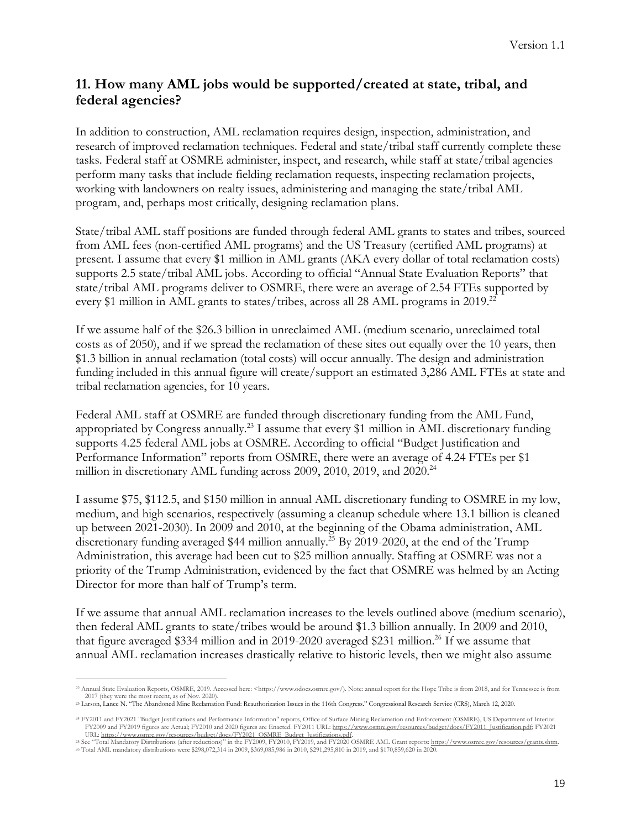# **11. How many AML jobs would be supported/created at state, tribal, and federal agencies?**

In addition to construction, AML reclamation requires design, inspection, administration, and research of improved reclamation techniques. Federal and state/tribal staff currently complete these tasks. Federal staff at OSMRE administer, inspect, and research, while staff at state/tribal agencies perform many tasks that include fielding reclamation requests, inspecting reclamation projects, working with landowners on realty issues, administering and managing the state/tribal AML program, and, perhaps most critically, designing reclamation plans.

State/tribal AML staff positions are funded through federal AML grants to states and tribes, sourced from AML fees (non-certified AML programs) and the US Treasury (certified AML programs) at present. I assume that every \$1 million in AML grants (AKA every dollar of total reclamation costs) supports 2.5 state/tribal AML jobs. According to official "Annual State Evaluation Reports" that state/tribal AML programs deliver to OSMRE, there were an average of 2.54 FTEs supported by every \$1 million in AML grants to states/tribes, across all 28 AML programs in 2019.<sup>22</sup>

If we assume half of the \$26.3 billion in unreclaimed AML (medium scenario, unreclaimed total costs as of 2050), and if we spread the reclamation of these sites out equally over the 10 years, then \$1.3 billion in annual reclamation (total costs) will occur annually. The design and administration funding included in this annual figure will create/support an estimated 3,286 AML FTEs at state and tribal reclamation agencies, for 10 years.

Federal AML staff at OSMRE are funded through discretionary funding from the AML Fund, appropriated by Congress annually.23 I assume that every \$1 million in AML discretionary funding supports 4.25 federal AML jobs at OSMRE. According to official "Budget Justification and Performance Information" reports from OSMRE, there were an average of 4.24 FTEs per \$1 million in discretionary AML funding across 2009, 2010, 2019, and 2020.<sup>24</sup>

I assume \$75, \$112.5, and \$150 million in annual AML discretionary funding to OSMRE in my low, medium, and high scenarios, respectively (assuming a cleanup schedule where 13.1 billion is cleaned up between 2021-2030). In 2009 and 2010, at the beginning of the Obama administration, AML discretionary funding averaged \$44 million annually. <sup>25</sup> By 2019-2020, at the end of the Trump Administration, this average had been cut to \$25 million annually. Staffing at OSMRE was not a priority of the Trump Administration, evidenced by the fact that OSMRE was helmed by an Acting Director for more than half of Trump's term.

If we assume that annual AML reclamation increases to the levels outlined above (medium scenario), then federal AML grants to state/tribes would be around \$1.3 billion annually. In 2009 and 2010, that figure averaged \$334 million and in 2019-2020 averaged \$231 million.<sup>26</sup> If we assume that annual AML reclamation increases drastically relative to historic levels, then we might also assume

<sup>22</sup> Annual State Evaluation Reports, OSMRE, 2019. Accessed here: <https://www.odocs.osmre.gov/). Note: annual report for the Hope Tribe is from 2018, and for Tennessee is from 2017 (they were the most recent, as of Nov. 2020).

<sup>23</sup> Larson, Lance N. "The Abandoned Mine Reclamation Fund: Reauthorization Issues in the 116th Congress." Congressional Research Service (CRS), March 12, 2020.

<sup>24</sup> FY2011 and FY2021 "Budget Justifications and Performance Information" reports, Office of Surface Mining Reclamation and Enforcement (OSMRE), US Department of Interior. FY2009 and FY2019 figures are Actual; FY2010 and 2020 figures are Enacted. FY2011 URL: https://www.osmre.gov/resources/budget/docs/FY2011\_Justification.pdf; FY2021

URL: <u>https://www.osmre.gov/resources/budget/docs/FY2021\_OSMRE\_Budget\_Justifications.pdf</u><br><sup>25</sup> See "Total Mandatory Distributions (after reductions)" in the FY2009, FY2010, FY2019, and FY2020 OSMRE AML Grant reports: <u>http</u> <sup>26</sup> Total AML mandatory distributions were \$298,072,314 in 2009, \$369,085,986 in 2010, \$291,295,810 in 2019, and \$170,859,620 in 2020.